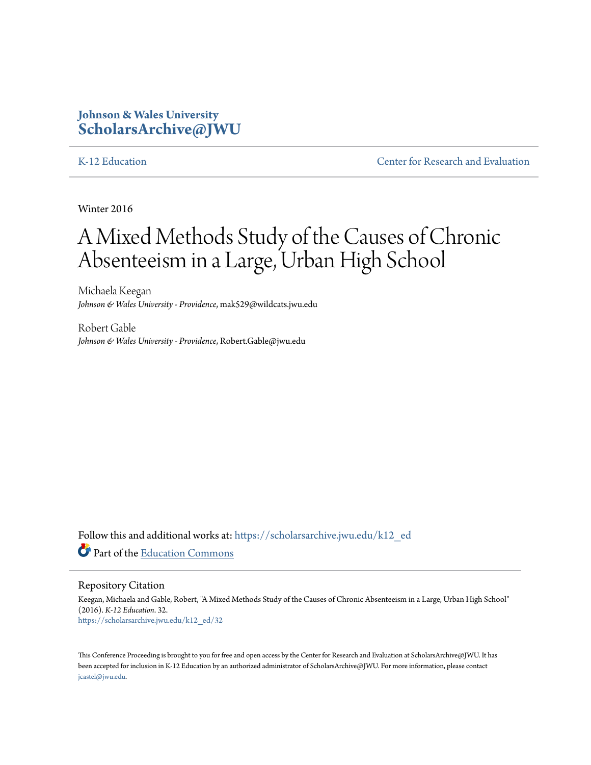# **Johnson & Wales University [ScholarsArchive@JWU](https://scholarsarchive.jwu.edu?utm_source=scholarsarchive.jwu.edu%2Fk12_ed%2F32&utm_medium=PDF&utm_campaign=PDFCoverPages)**

[K-12 Education](https://scholarsarchive.jwu.edu/k12_ed?utm_source=scholarsarchive.jwu.edu%2Fk12_ed%2F32&utm_medium=PDF&utm_campaign=PDFCoverPages) **[Center for Research and Evaluation](https://scholarsarchive.jwu.edu/research?utm_source=scholarsarchive.jwu.edu%2Fk12_ed%2F32&utm_medium=PDF&utm_campaign=PDFCoverPages)** 

Winter 2016

# A Mixed Methods Study of the Causes of Chronic Absenteeism in a Large, Urban High School

Michaela Keegan *Johnson & Wales University - Providence*, mak529@wildcats.jwu.edu

Robert Gable *Johnson & Wales University - Providence*, Robert.Gable@jwu.edu

Follow this and additional works at: [https://scholarsarchive.jwu.edu/k12\\_ed](https://scholarsarchive.jwu.edu/k12_ed?utm_source=scholarsarchive.jwu.edu%2Fk12_ed%2F32&utm_medium=PDF&utm_campaign=PDFCoverPages) Part of the [Education Commons](http://network.bepress.com/hgg/discipline/784?utm_source=scholarsarchive.jwu.edu%2Fk12_ed%2F32&utm_medium=PDF&utm_campaign=PDFCoverPages)

Repository Citation

Keegan, Michaela and Gable, Robert, "A Mixed Methods Study of the Causes of Chronic Absenteeism in a Large, Urban High School" (2016). *K-12 Education*. 32. [https://scholarsarchive.jwu.edu/k12\\_ed/32](https://scholarsarchive.jwu.edu/k12_ed/32?utm_source=scholarsarchive.jwu.edu%2Fk12_ed%2F32&utm_medium=PDF&utm_campaign=PDFCoverPages)

This Conference Proceeding is brought to you for free and open access by the Center for Research and Evaluation at ScholarsArchive@JWU. It has been accepted for inclusion in K-12 Education by an authorized administrator of ScholarsArchive@JWU. For more information, please contact [jcastel@jwu.edu.](mailto:jcastel@jwu.edu)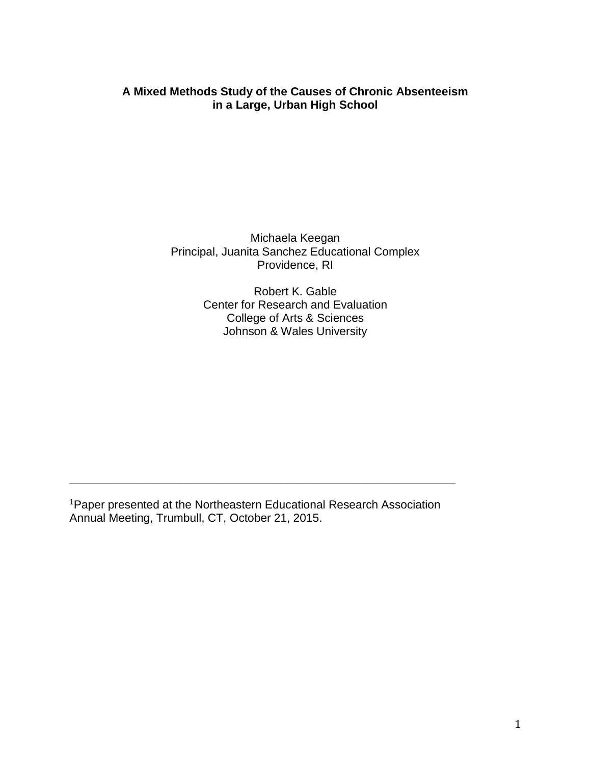# **A Mixed Methods Study of the Causes of Chronic Absenteeism in a Large, Urban High School**

Michaela Keegan Principal, Juanita Sanchez Educational Complex Providence, RI

> Robert K. Gable Center for Research and Evaluation College of Arts & Sciences Johnson & Wales University

<sup>1</sup>Paper presented at the Northeastern Educational Research Association Annual Meeting, Trumbull, CT, October 21, 2015.

**\_\_\_\_\_\_\_\_\_\_\_\_\_\_\_\_\_\_\_\_\_\_\_\_\_\_\_\_\_\_\_\_\_\_\_\_\_\_\_\_\_\_\_\_\_\_\_\_\_\_\_\_\_\_\_\_\_\_\_\_**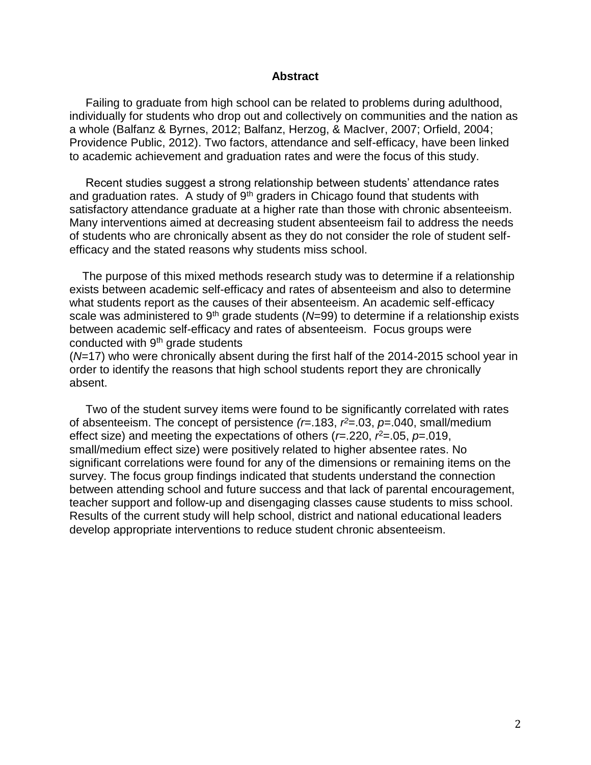#### **Abstract**

 Failing to graduate from high school can be related to problems during adulthood, individually for students who drop out and collectively on communities and the nation as a whole (Balfanz & Byrnes, 2012; Balfanz, Herzog, & MacIver, 2007; Orfield, 2004; Providence Public, 2012). Two factors, attendance and self-efficacy, have been linked to academic achievement and graduation rates and were the focus of this study.

 Recent studies suggest a strong relationship between students' attendance rates and graduation rates. A study of  $9<sup>th</sup>$  graders in Chicago found that students with satisfactory attendance graduate at a higher rate than those with chronic absenteeism. Many interventions aimed at decreasing student absenteeism fail to address the needs of students who are chronically absent as they do not consider the role of student selfefficacy and the stated reasons why students miss school.

 The purpose of this mixed methods research study was to determine if a relationship exists between academic self-efficacy and rates of absenteeism and also to determine what students report as the causes of their absenteeism. An academic self-efficacy scale was administered to  $9<sup>th</sup>$  grade students ( $N=99$ ) to determine if a relationship exists between academic self-efficacy and rates of absenteeism. Focus groups were conducted with  $9<sup>th</sup>$  grade students

(*N*=17) who were chronically absent during the first half of the 2014-2015 school year in order to identify the reasons that high school students report they are chronically absent.

 Two of the student survey items were found to be significantly correlated with rates of absenteeism. The concept of persistence *(r*=.183, *r <sup>2</sup>*=.03, *p*=.040, small/medium effect size) and meeting the expectations of others ( $r = 220$ ,  $r^2 = 0.05$ ,  $p = 0.019$ , small/medium effect size) were positively related to higher absentee rates. No significant correlations were found for any of the dimensions or remaining items on the survey. The focus group findings indicated that students understand the connection between attending school and future success and that lack of parental encouragement, teacher support and follow-up and disengaging classes cause students to miss school. Results of the current study will help school, district and national educational leaders develop appropriate interventions to reduce student chronic absenteeism.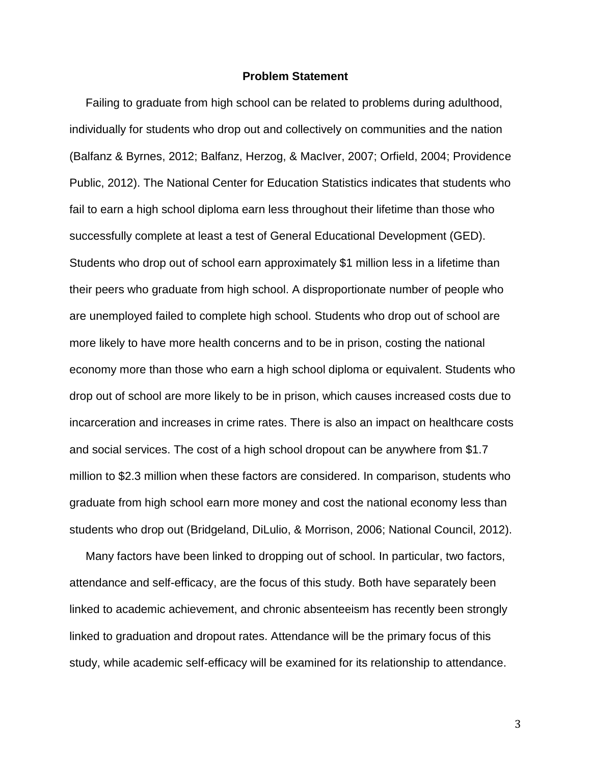#### **Problem Statement**

 Failing to graduate from high school can be related to problems during adulthood, individually for students who drop out and collectively on communities and the nation (Balfanz & Byrnes, 2012; Balfanz, Herzog, & MacIver, 2007; Orfield, 2004; Providence Public, 2012). The National Center for Education Statistics indicates that students who fail to earn a high school diploma earn less throughout their lifetime than those who successfully complete at least a test of General Educational Development (GED). Students who drop out of school earn approximately \$1 million less in a lifetime than their peers who graduate from high school. A disproportionate number of people who are unemployed failed to complete high school. Students who drop out of school are more likely to have more health concerns and to be in prison, costing the national economy more than those who earn a high school diploma or equivalent. Students who drop out of school are more likely to be in prison, which causes increased costs due to incarceration and increases in crime rates. There is also an impact on healthcare costs and social services. The cost of a high school dropout can be anywhere from \$1.7 million to \$2.3 million when these factors are considered. In comparison, students who graduate from high school earn more money and cost the national economy less than students who drop out (Bridgeland, DiLulio, & Morrison, 2006; National Council, 2012).

 Many factors have been linked to dropping out of school. In particular, two factors, attendance and self-efficacy, are the focus of this study. Both have separately been linked to academic achievement, and chronic absenteeism has recently been strongly linked to graduation and dropout rates. Attendance will be the primary focus of this study, while academic self-efficacy will be examined for its relationship to attendance.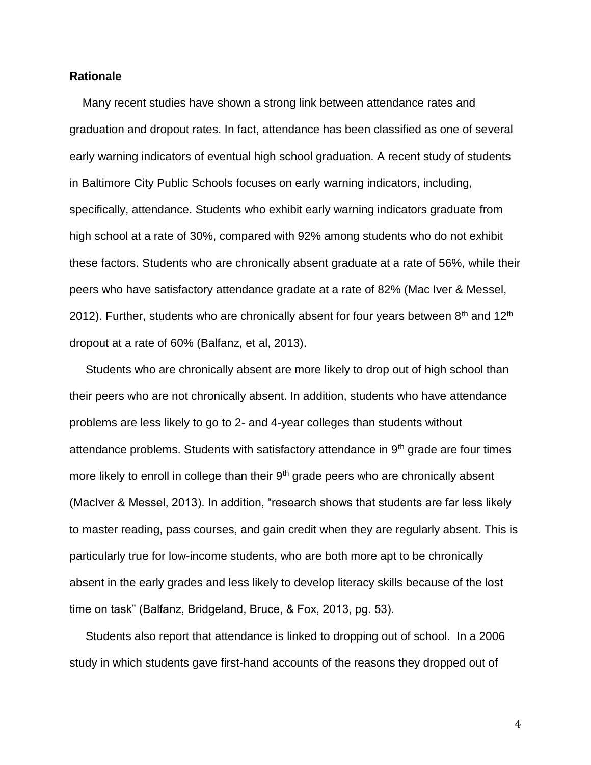#### **Rationale**

 Many recent studies have shown a strong link between attendance rates and graduation and dropout rates. In fact, attendance has been classified as one of several early warning indicators of eventual high school graduation. A recent study of students in Baltimore City Public Schools focuses on early warning indicators, including, specifically, attendance. Students who exhibit early warning indicators graduate from high school at a rate of 30%, compared with 92% among students who do not exhibit these factors. Students who are chronically absent graduate at a rate of 56%, while their peers who have satisfactory attendance gradate at a rate of 82% (Mac Iver & Messel, 2012). Further, students who are chronically absent for four years between  $8<sup>th</sup>$  and 12<sup>th</sup> dropout at a rate of 60% (Balfanz, et al, 2013).

 Students who are chronically absent are more likely to drop out of high school than their peers who are not chronically absent. In addition, students who have attendance problems are less likely to go to 2- and 4-year colleges than students without attendance problems. Students with satisfactory attendance in  $9<sup>th</sup>$  grade are four times more likely to enroll in college than their  $9<sup>th</sup>$  grade peers who are chronically absent (MacIver & Messel, 2013). In addition, "research shows that students are far less likely to master reading, pass courses, and gain credit when they are regularly absent. This is particularly true for low-income students, who are both more apt to be chronically absent in the early grades and less likely to develop literacy skills because of the lost time on task" (Balfanz, Bridgeland, Bruce, & Fox, 2013, pg. 53).

 Students also report that attendance is linked to dropping out of school. In a 2006 study in which students gave first-hand accounts of the reasons they dropped out of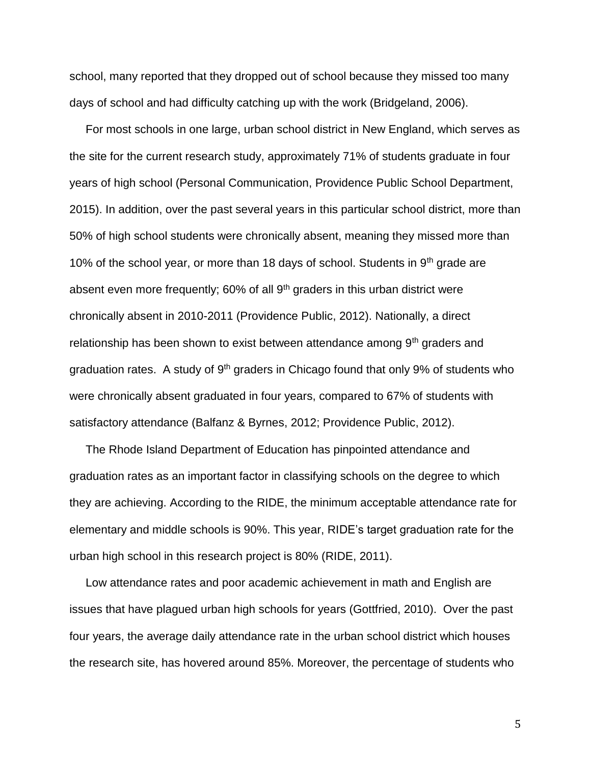school, many reported that they dropped out of school because they missed too many days of school and had difficulty catching up with the work (Bridgeland, 2006).

 For most schools in one large, urban school district in New England, which serves as the site for the current research study, approximately 71% of students graduate in four years of high school (Personal Communication, Providence Public School Department, 2015). In addition, over the past several years in this particular school district, more than 50% of high school students were chronically absent, meaning they missed more than 10% of the school year, or more than 18 days of school. Students in  $9<sup>th</sup>$  grade are absent even more frequently; 60% of all 9<sup>th</sup> graders in this urban district were chronically absent in 2010-2011 (Providence Public, 2012). Nationally, a direct relationship has been shown to exist between attendance among  $9<sup>th</sup>$  graders and graduation rates. A study of  $9<sup>th</sup>$  graders in Chicago found that only  $9%$  of students who were chronically absent graduated in four years, compared to 67% of students with satisfactory attendance (Balfanz & Byrnes, 2012; Providence Public, 2012).

 The Rhode Island Department of Education has pinpointed attendance and graduation rates as an important factor in classifying schools on the degree to which they are achieving. According to the RIDE, the minimum acceptable attendance rate for elementary and middle schools is 90%. This year, RIDE's target graduation rate for the urban high school in this research project is 80% (RIDE, 2011).

 Low attendance rates and poor academic achievement in math and English are issues that have plagued urban high schools for years (Gottfried, 2010). Over the past four years, the average daily attendance rate in the urban school district which houses the research site, has hovered around 85%. Moreover, the percentage of students who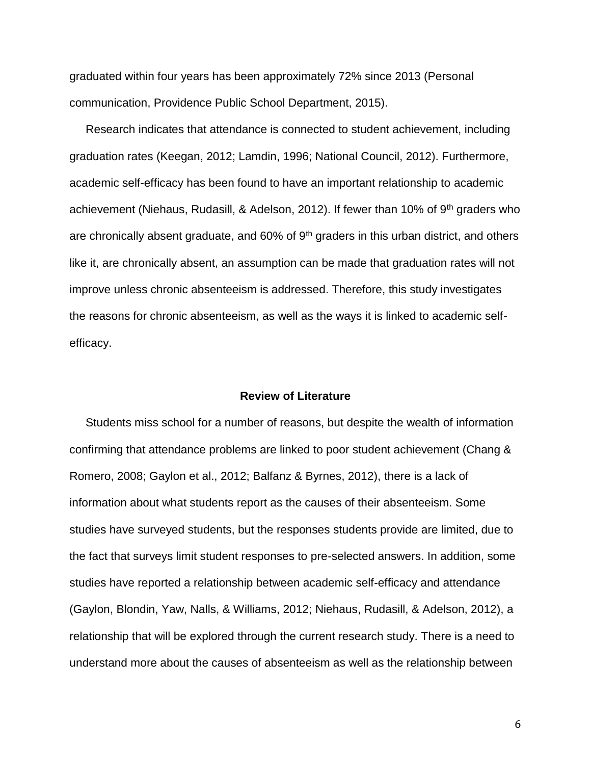graduated within four years has been approximately 72% since 2013 (Personal communication, Providence Public School Department, 2015).

 Research indicates that attendance is connected to student achievement, including graduation rates (Keegan, 2012; Lamdin, 1996; National Council, 2012). Furthermore, academic self-efficacy has been found to have an important relationship to academic achievement (Niehaus, Rudasill, & Adelson, 2012). If fewer than 10% of 9<sup>th</sup> graders who are chronically absent graduate, and  $60\%$  of  $9<sup>th</sup>$  graders in this urban district, and others like it, are chronically absent, an assumption can be made that graduation rates will not improve unless chronic absenteeism is addressed. Therefore, this study investigates the reasons for chronic absenteeism, as well as the ways it is linked to academic selfefficacy.

#### **Review of Literature**

 Students miss school for a number of reasons, but despite the wealth of information confirming that attendance problems are linked to poor student achievement (Chang & Romero, 2008; Gaylon et al., 2012; Balfanz & Byrnes, 2012), there is a lack of information about what students report as the causes of their absenteeism. Some studies have surveyed students, but the responses students provide are limited, due to the fact that surveys limit student responses to pre-selected answers. In addition, some studies have reported a relationship between academic self-efficacy and attendance (Gaylon, Blondin, Yaw, Nalls, & Williams, 2012; Niehaus, Rudasill, & Adelson, 2012), a relationship that will be explored through the current research study. There is a need to understand more about the causes of absenteeism as well as the relationship between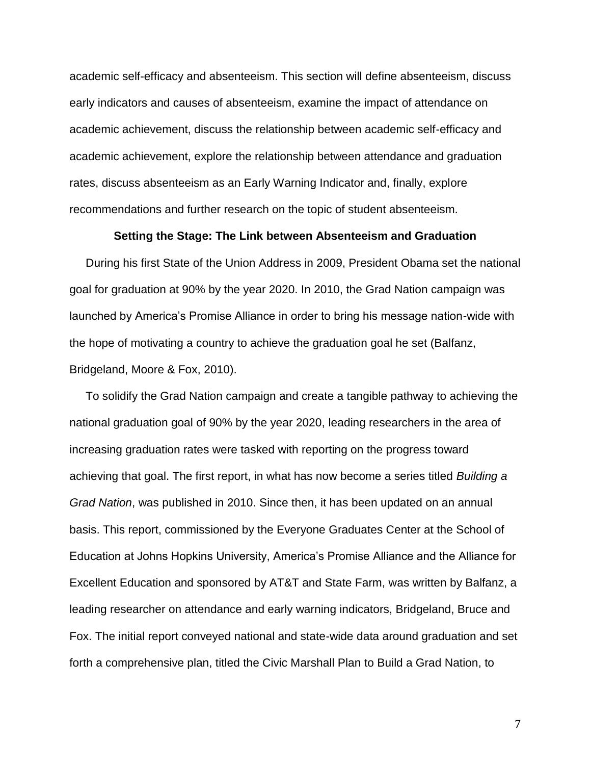academic self-efficacy and absenteeism. This section will define absenteeism, discuss early indicators and causes of absenteeism, examine the impact of attendance on academic achievement, discuss the relationship between academic self-efficacy and academic achievement, explore the relationship between attendance and graduation rates, discuss absenteeism as an Early Warning Indicator and, finally, explore recommendations and further research on the topic of student absenteeism.

#### **Setting the Stage: The Link between Absenteeism and Graduation**

 During his first State of the Union Address in 2009, President Obama set the national goal for graduation at 90% by the year 2020. In 2010, the Grad Nation campaign was launched by America's Promise Alliance in order to bring his message nation-wide with the hope of motivating a country to achieve the graduation goal he set (Balfanz, Bridgeland, Moore & Fox, 2010).

 To solidify the Grad Nation campaign and create a tangible pathway to achieving the national graduation goal of 90% by the year 2020, leading researchers in the area of increasing graduation rates were tasked with reporting on the progress toward achieving that goal. The first report, in what has now become a series titled *Building a Grad Nation*, was published in 2010. Since then, it has been updated on an annual basis. This report, commissioned by the Everyone Graduates Center at the School of Education at Johns Hopkins University, America's Promise Alliance and the Alliance for Excellent Education and sponsored by AT&T and State Farm, was written by Balfanz, a leading researcher on attendance and early warning indicators, Bridgeland, Bruce and Fox. The initial report conveyed national and state-wide data around graduation and set forth a comprehensive plan, titled the Civic Marshall Plan to Build a Grad Nation, to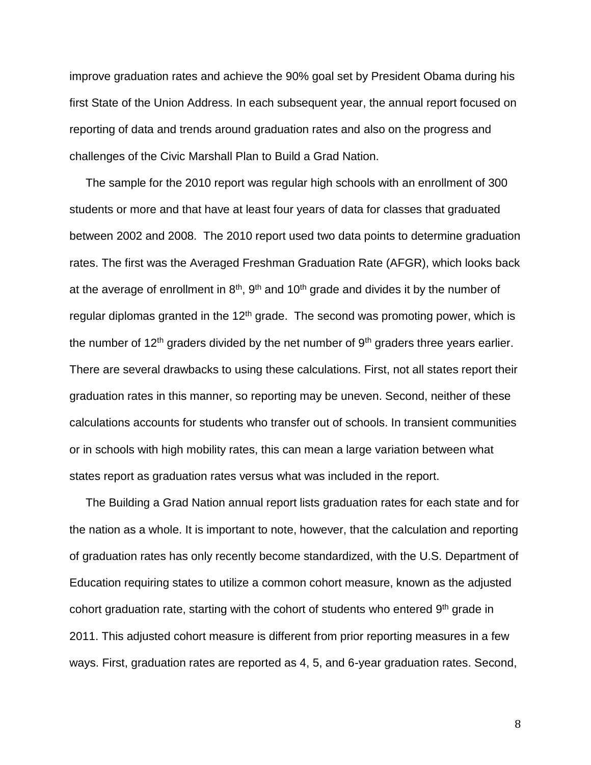improve graduation rates and achieve the 90% goal set by President Obama during his first State of the Union Address. In each subsequent year, the annual report focused on reporting of data and trends around graduation rates and also on the progress and challenges of the Civic Marshall Plan to Build a Grad Nation.

 The sample for the 2010 report was regular high schools with an enrollment of 300 students or more and that have at least four years of data for classes that graduated between 2002 and 2008. The 2010 report used two data points to determine graduation rates. The first was the Averaged Freshman Graduation Rate (AFGR), which looks back at the average of enrollment in  $8<sup>th</sup>$ ,  $9<sup>th</sup>$  and  $10<sup>th</sup>$  grade and divides it by the number of regular diplomas granted in the  $12<sup>th</sup>$  grade. The second was promoting power, which is the number of 12<sup>th</sup> graders divided by the net number of  $9<sup>th</sup>$  graders three years earlier. There are several drawbacks to using these calculations. First, not all states report their graduation rates in this manner, so reporting may be uneven. Second, neither of these calculations accounts for students who transfer out of schools. In transient communities or in schools with high mobility rates, this can mean a large variation between what states report as graduation rates versus what was included in the report.

 The Building a Grad Nation annual report lists graduation rates for each state and for the nation as a whole. It is important to note, however, that the calculation and reporting of graduation rates has only recently become standardized, with the U.S. Department of Education requiring states to utilize a common cohort measure, known as the adjusted cohort graduation rate, starting with the cohort of students who entered 9<sup>th</sup> grade in 2011. This adjusted cohort measure is different from prior reporting measures in a few ways. First, graduation rates are reported as 4, 5, and 6-year graduation rates. Second,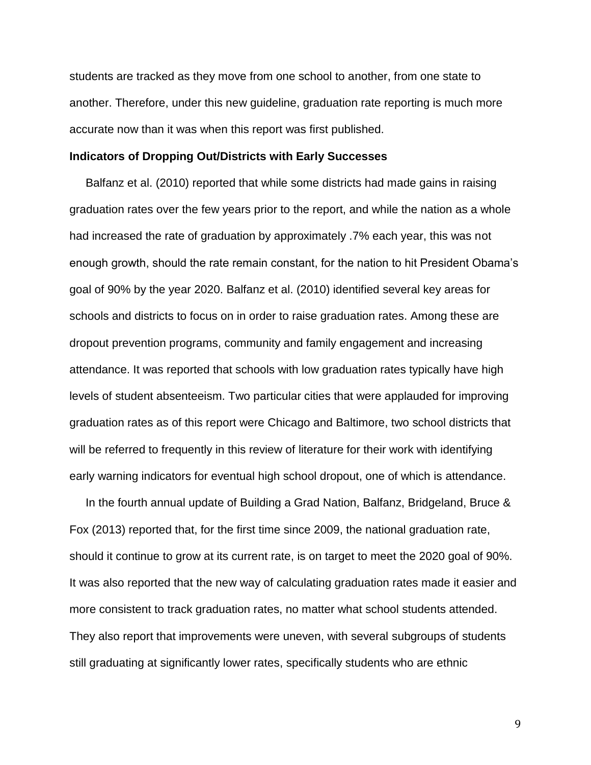students are tracked as they move from one school to another, from one state to another. Therefore, under this new guideline, graduation rate reporting is much more accurate now than it was when this report was first published.

#### **Indicators of Dropping Out/Districts with Early Successes**

 Balfanz et al. (2010) reported that while some districts had made gains in raising graduation rates over the few years prior to the report, and while the nation as a whole had increased the rate of graduation by approximately .7% each year, this was not enough growth, should the rate remain constant, for the nation to hit President Obama's goal of 90% by the year 2020. Balfanz et al. (2010) identified several key areas for schools and districts to focus on in order to raise graduation rates. Among these are dropout prevention programs, community and family engagement and increasing attendance. It was reported that schools with low graduation rates typically have high levels of student absenteeism. Two particular cities that were applauded for improving graduation rates as of this report were Chicago and Baltimore, two school districts that will be referred to frequently in this review of literature for their work with identifying early warning indicators for eventual high school dropout, one of which is attendance.

 In the fourth annual update of Building a Grad Nation, Balfanz, Bridgeland, Bruce & Fox (2013) reported that, for the first time since 2009, the national graduation rate, should it continue to grow at its current rate, is on target to meet the 2020 goal of 90%. It was also reported that the new way of calculating graduation rates made it easier and more consistent to track graduation rates, no matter what school students attended. They also report that improvements were uneven, with several subgroups of students still graduating at significantly lower rates, specifically students who are ethnic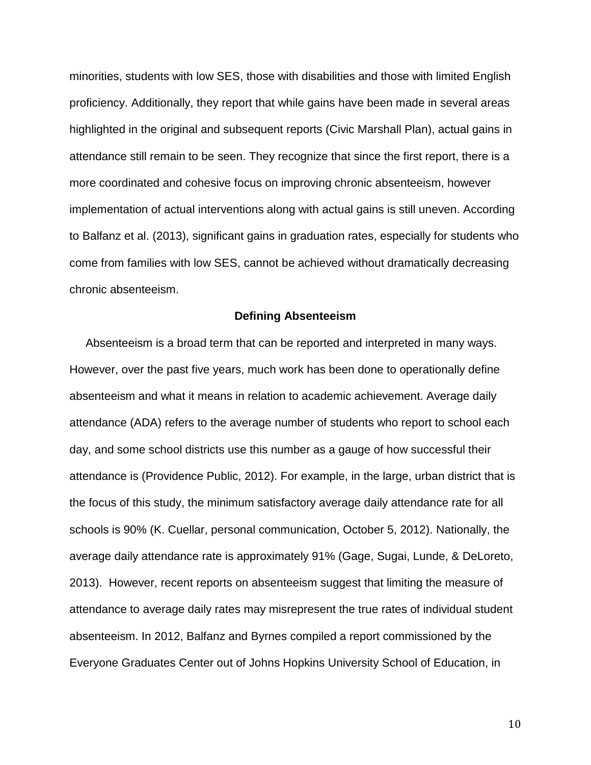minorities, students with low SES, those with disabilities and those with limited English proficiency. Additionally, they report that while gains have been made in several areas highlighted in the original and subsequent reports (Civic Marshall Plan), actual gains in attendance still remain to be seen. They recognize that since the first report, there is a more coordinated and cohesive focus on improving chronic absenteeism, however implementation of actual interventions along with actual gains is still uneven. According to Balfanz et al. (2013), significant gains in graduation rates, especially for students who come from families with low SES, cannot be achieved without dramatically decreasing chronic absenteeism.

#### **Defining Absenteeism**

 Absenteeism is a broad term that can be reported and interpreted in many ways. However, over the past five years, much work has been done to operationally define absenteeism and what it means in relation to academic achievement. Average daily attendance (ADA) refers to the average number of students who report to school each day, and some school districts use this number as a gauge of how successful their attendance is (Providence Public, 2012). For example, in the large, urban district that is the focus of this study, the minimum satisfactory average daily attendance rate for all schools is 90% (K. Cuellar, personal communication, October 5, 2012). Nationally, the average daily attendance rate is approximately 91% (Gage, Sugai, Lunde, & DeLoreto, 2013). However, recent reports on absenteeism suggest that limiting the measure of attendance to average daily rates may misrepresent the true rates of individual student absenteeism. In 2012, Balfanz and Byrnes compiled a report commissioned by the Everyone Graduates Center out of Johns Hopkins University School of Education, in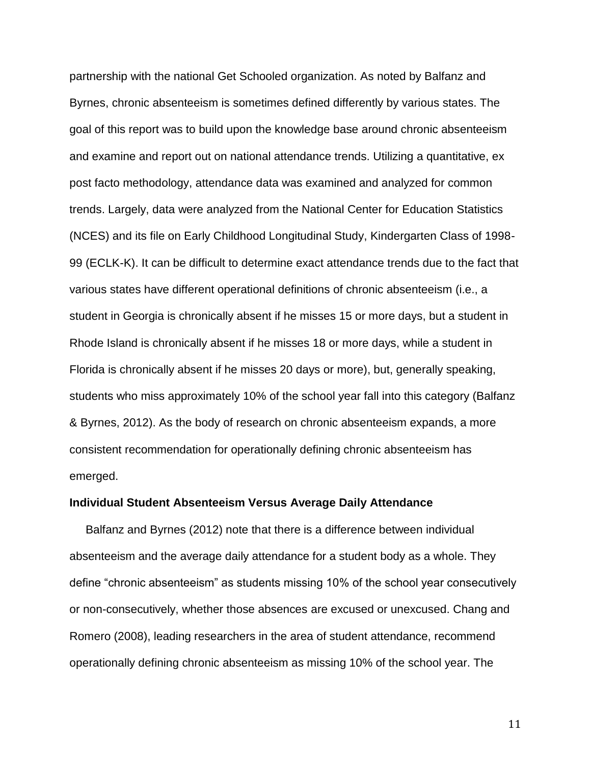partnership with the national Get Schooled organization. As noted by Balfanz and Byrnes, chronic absenteeism is sometimes defined differently by various states. The goal of this report was to build upon the knowledge base around chronic absenteeism and examine and report out on national attendance trends. Utilizing a quantitative, ex post facto methodology, attendance data was examined and analyzed for common trends. Largely, data were analyzed from the National Center for Education Statistics (NCES) and its file on Early Childhood Longitudinal Study, Kindergarten Class of 1998- 99 (ECLK-K). It can be difficult to determine exact attendance trends due to the fact that various states have different operational definitions of chronic absenteeism (i.e., a student in Georgia is chronically absent if he misses 15 or more days, but a student in Rhode Island is chronically absent if he misses 18 or more days, while a student in Florida is chronically absent if he misses 20 days or more), but, generally speaking, students who miss approximately 10% of the school year fall into this category (Balfanz & Byrnes, 2012). As the body of research on chronic absenteeism expands, a more consistent recommendation for operationally defining chronic absenteeism has emerged.

#### **Individual Student Absenteeism Versus Average Daily Attendance**

 Balfanz and Byrnes (2012) note that there is a difference between individual absenteeism and the average daily attendance for a student body as a whole. They define "chronic absenteeism" as students missing 10% of the school year consecutively or non-consecutively, whether those absences are excused or unexcused. Chang and Romero (2008), leading researchers in the area of student attendance, recommend operationally defining chronic absenteeism as missing 10% of the school year. The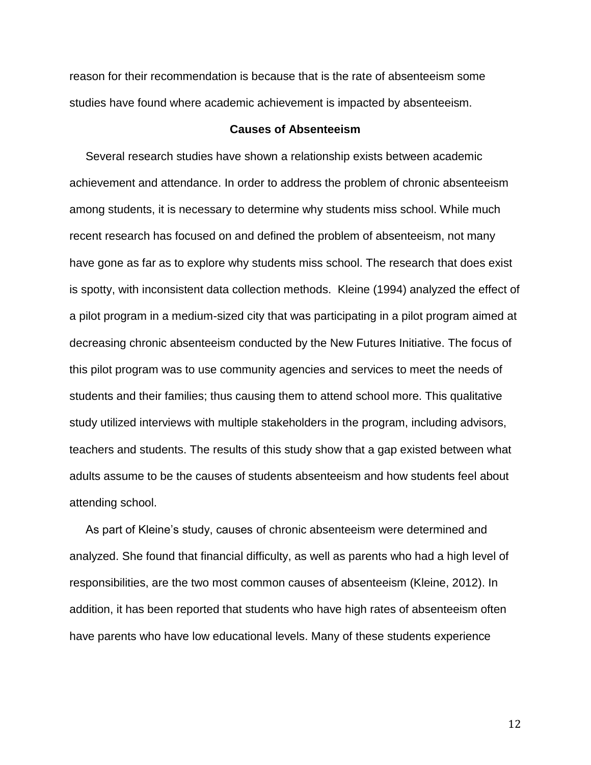reason for their recommendation is because that is the rate of absenteeism some studies have found where academic achievement is impacted by absenteeism.

#### **Causes of Absenteeism**

 Several research studies have shown a relationship exists between academic achievement and attendance. In order to address the problem of chronic absenteeism among students, it is necessary to determine why students miss school. While much recent research has focused on and defined the problem of absenteeism, not many have gone as far as to explore why students miss school. The research that does exist is spotty, with inconsistent data collection methods. Kleine (1994) analyzed the effect of a pilot program in a medium-sized city that was participating in a pilot program aimed at decreasing chronic absenteeism conducted by the New Futures Initiative. The focus of this pilot program was to use community agencies and services to meet the needs of students and their families; thus causing them to attend school more. This qualitative study utilized interviews with multiple stakeholders in the program, including advisors, teachers and students. The results of this study show that a gap existed between what adults assume to be the causes of students absenteeism and how students feel about attending school.

 As part of Kleine's study, causes of chronic absenteeism were determined and analyzed. She found that financial difficulty, as well as parents who had a high level of responsibilities, are the two most common causes of absenteeism (Kleine, 2012). In addition, it has been reported that students who have high rates of absenteeism often have parents who have low educational levels. Many of these students experience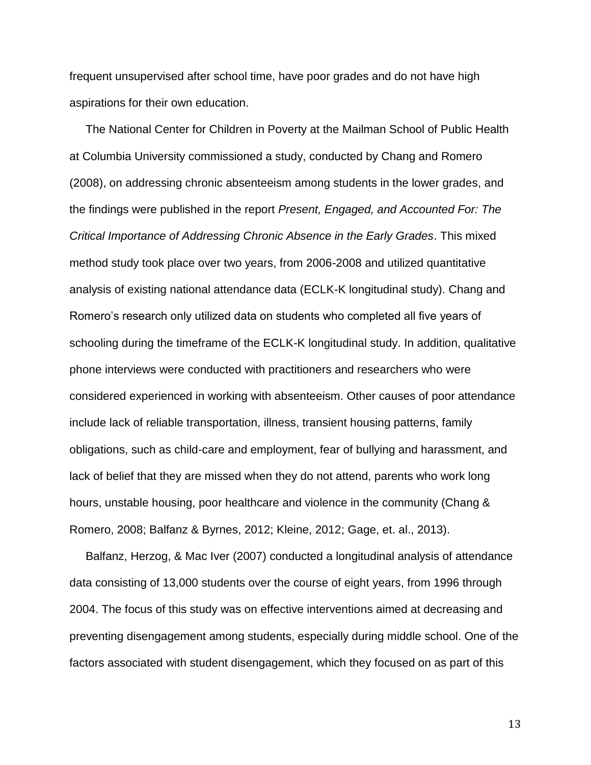frequent unsupervised after school time, have poor grades and do not have high aspirations for their own education.

 The National Center for Children in Poverty at the Mailman School of Public Health at Columbia University commissioned a study, conducted by Chang and Romero (2008), on addressing chronic absenteeism among students in the lower grades, and the findings were published in the report *Present, Engaged, and Accounted For: The Critical Importance of Addressing Chronic Absence in the Early Grades*. This mixed method study took place over two years, from 2006-2008 and utilized quantitative analysis of existing national attendance data (ECLK-K longitudinal study). Chang and Romero's research only utilized data on students who completed all five years of schooling during the timeframe of the ECLK-K longitudinal study. In addition, qualitative phone interviews were conducted with practitioners and researchers who were considered experienced in working with absenteeism. Other causes of poor attendance include lack of reliable transportation, illness, transient housing patterns, family obligations, such as child-care and employment, fear of bullying and harassment, and lack of belief that they are missed when they do not attend, parents who work long hours, unstable housing, poor healthcare and violence in the community (Chang & Romero, 2008; Balfanz & Byrnes, 2012; Kleine, 2012; Gage, et. al., 2013).

 Balfanz, Herzog, & Mac Iver (2007) conducted a longitudinal analysis of attendance data consisting of 13,000 students over the course of eight years, from 1996 through 2004. The focus of this study was on effective interventions aimed at decreasing and preventing disengagement among students, especially during middle school. One of the factors associated with student disengagement, which they focused on as part of this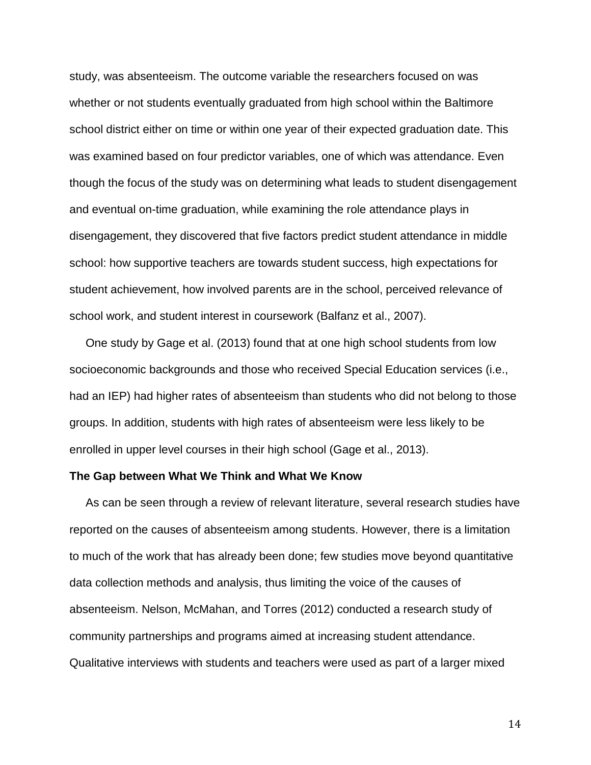study, was absenteeism. The outcome variable the researchers focused on was whether or not students eventually graduated from high school within the Baltimore school district either on time or within one year of their expected graduation date. This was examined based on four predictor variables, one of which was attendance. Even though the focus of the study was on determining what leads to student disengagement and eventual on-time graduation, while examining the role attendance plays in disengagement, they discovered that five factors predict student attendance in middle school: how supportive teachers are towards student success, high expectations for student achievement, how involved parents are in the school, perceived relevance of school work, and student interest in coursework (Balfanz et al., 2007).

 One study by Gage et al. (2013) found that at one high school students from low socioeconomic backgrounds and those who received Special Education services (i.e., had an IEP) had higher rates of absenteeism than students who did not belong to those groups. In addition, students with high rates of absenteeism were less likely to be enrolled in upper level courses in their high school (Gage et al., 2013).

#### **The Gap between What We Think and What We Know**

 As can be seen through a review of relevant literature, several research studies have reported on the causes of absenteeism among students. However, there is a limitation to much of the work that has already been done; few studies move beyond quantitative data collection methods and analysis, thus limiting the voice of the causes of absenteeism. Nelson, McMahan, and Torres (2012) conducted a research study of community partnerships and programs aimed at increasing student attendance. Qualitative interviews with students and teachers were used as part of a larger mixed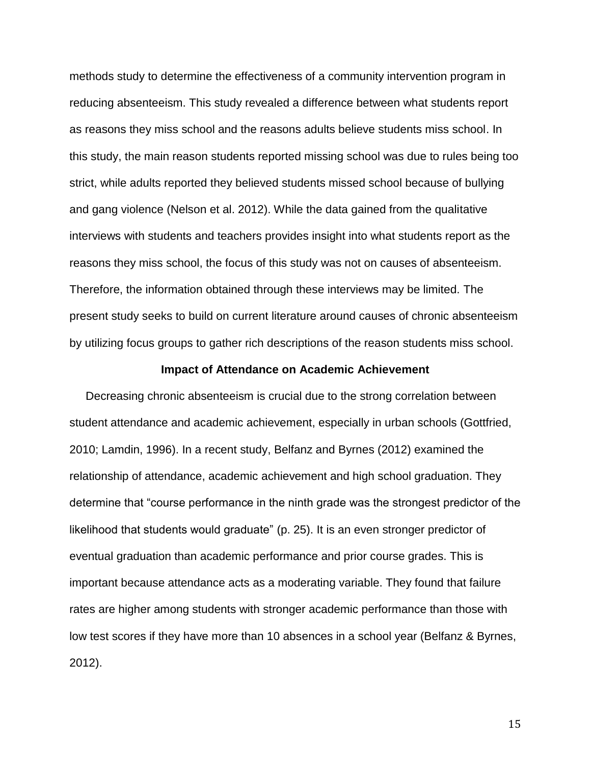methods study to determine the effectiveness of a community intervention program in reducing absenteeism. This study revealed a difference between what students report as reasons they miss school and the reasons adults believe students miss school. In this study, the main reason students reported missing school was due to rules being too strict, while adults reported they believed students missed school because of bullying and gang violence (Nelson et al. 2012). While the data gained from the qualitative interviews with students and teachers provides insight into what students report as the reasons they miss school, the focus of this study was not on causes of absenteeism. Therefore, the information obtained through these interviews may be limited. The present study seeks to build on current literature around causes of chronic absenteeism by utilizing focus groups to gather rich descriptions of the reason students miss school.

#### **Impact of Attendance on Academic Achievement**

 Decreasing chronic absenteeism is crucial due to the strong correlation between student attendance and academic achievement, especially in urban schools (Gottfried, 2010; Lamdin, 1996). In a recent study, Belfanz and Byrnes (2012) examined the relationship of attendance, academic achievement and high school graduation. They determine that "course performance in the ninth grade was the strongest predictor of the likelihood that students would graduate" (p. 25). It is an even stronger predictor of eventual graduation than academic performance and prior course grades. This is important because attendance acts as a moderating variable. They found that failure rates are higher among students with stronger academic performance than those with low test scores if they have more than 10 absences in a school year (Belfanz & Byrnes, 2012).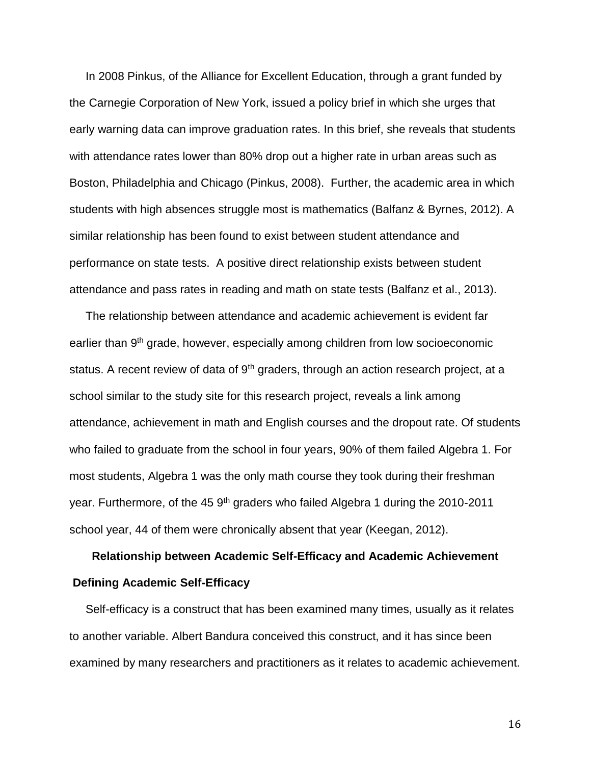In 2008 Pinkus, of the Alliance for Excellent Education, through a grant funded by the Carnegie Corporation of New York, issued a policy brief in which she urges that early warning data can improve graduation rates. In this brief, she reveals that students with attendance rates lower than 80% drop out a higher rate in urban areas such as Boston, Philadelphia and Chicago (Pinkus, 2008). Further, the academic area in which students with high absences struggle most is mathematics (Balfanz & Byrnes, 2012). A similar relationship has been found to exist between student attendance and performance on state tests. A positive direct relationship exists between student attendance and pass rates in reading and math on state tests (Balfanz et al., 2013).

 The relationship between attendance and academic achievement is evident far earlier than 9<sup>th</sup> grade, however, especially among children from low socioeconomic status. A recent review of data of 9<sup>th</sup> graders, through an action research project, at a school similar to the study site for this research project, reveals a link among attendance, achievement in math and English courses and the dropout rate. Of students who failed to graduate from the school in four years, 90% of them failed Algebra 1. For most students, Algebra 1 was the only math course they took during their freshman year. Furthermore, of the 45 9<sup>th</sup> graders who failed Algebra 1 during the 2010-2011 school year, 44 of them were chronically absent that year (Keegan, 2012).

# **Relationship between Academic Self-Efficacy and Academic Achievement Defining Academic Self-Efficacy**

 Self-efficacy is a construct that has been examined many times, usually as it relates to another variable. Albert Bandura conceived this construct, and it has since been examined by many researchers and practitioners as it relates to academic achievement.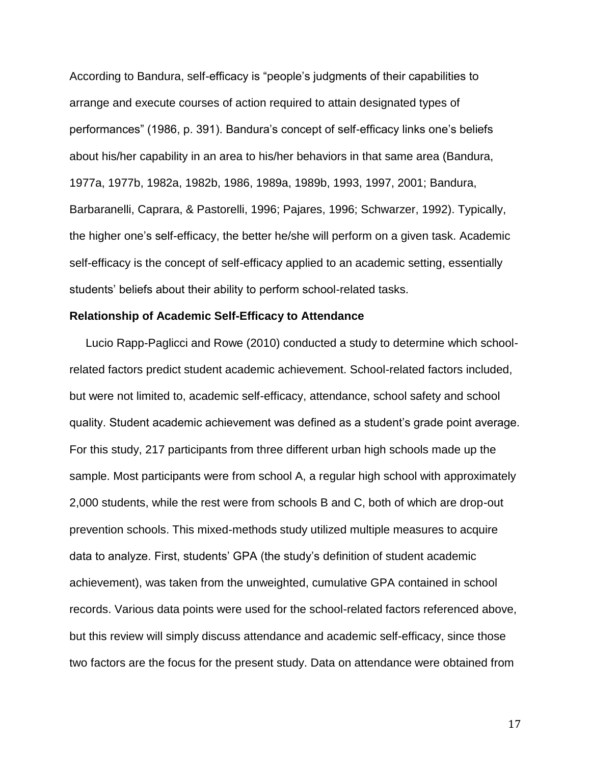According to Bandura, self-efficacy is "people's judgments of their capabilities to arrange and execute courses of action required to attain designated types of performances" (1986, p. 391). Bandura's concept of self-efficacy links one's beliefs about his/her capability in an area to his/her behaviors in that same area (Bandura, 1977a, 1977b, 1982a, 1982b, 1986, 1989a, 1989b, 1993, 1997, 2001; Bandura, Barbaranelli, Caprara, & Pastorelli, 1996; Pajares, 1996; Schwarzer, 1992). Typically, the higher one's self-efficacy, the better he/she will perform on a given task. Academic self-efficacy is the concept of self-efficacy applied to an academic setting, essentially students' beliefs about their ability to perform school-related tasks.

#### **Relationship of Academic Self-Efficacy to Attendance**

 Lucio Rapp-Paglicci and Rowe (2010) conducted a study to determine which schoolrelated factors predict student academic achievement. School-related factors included, but were not limited to, academic self-efficacy, attendance, school safety and school quality. Student academic achievement was defined as a student's grade point average. For this study, 217 participants from three different urban high schools made up the sample. Most participants were from school A, a regular high school with approximately 2,000 students, while the rest were from schools B and C, both of which are drop-out prevention schools. This mixed-methods study utilized multiple measures to acquire data to analyze. First, students' GPA (the study's definition of student academic achievement), was taken from the unweighted, cumulative GPA contained in school records. Various data points were used for the school-related factors referenced above, but this review will simply discuss attendance and academic self-efficacy, since those two factors are the focus for the present study. Data on attendance were obtained from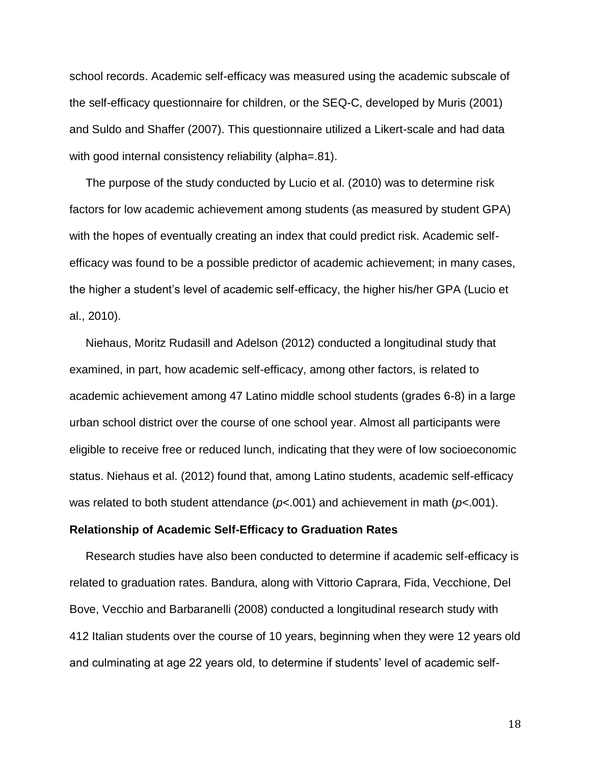school records. Academic self-efficacy was measured using the academic subscale of the self-efficacy questionnaire for children, or the SEQ-C, developed by Muris (2001) and Suldo and Shaffer (2007). This questionnaire utilized a Likert-scale and had data with good internal consistency reliability (alpha=.81).

 The purpose of the study conducted by Lucio et al. (2010) was to determine risk factors for low academic achievement among students (as measured by student GPA) with the hopes of eventually creating an index that could predict risk. Academic selfefficacy was found to be a possible predictor of academic achievement; in many cases, the higher a student's level of academic self-efficacy, the higher his/her GPA (Lucio et al., 2010).

 Niehaus, Moritz Rudasill and Adelson (2012) conducted a longitudinal study that examined, in part, how academic self-efficacy, among other factors, is related to academic achievement among 47 Latino middle school students (grades 6-8) in a large urban school district over the course of one school year. Almost all participants were eligible to receive free or reduced lunch, indicating that they were of low socioeconomic status. Niehaus et al. (2012) found that, among Latino students, academic self-efficacy was related to both student attendance (*p*<.001) and achievement in math (*p*<.001).

#### **Relationship of Academic Self-Efficacy to Graduation Rates**

 Research studies have also been conducted to determine if academic self-efficacy is related to graduation rates. Bandura, along with Vittorio Caprara, Fida, Vecchione, Del Bove, Vecchio and Barbaranelli (2008) conducted a longitudinal research study with 412 Italian students over the course of 10 years, beginning when they were 12 years old and culminating at age 22 years old, to determine if students' level of academic self-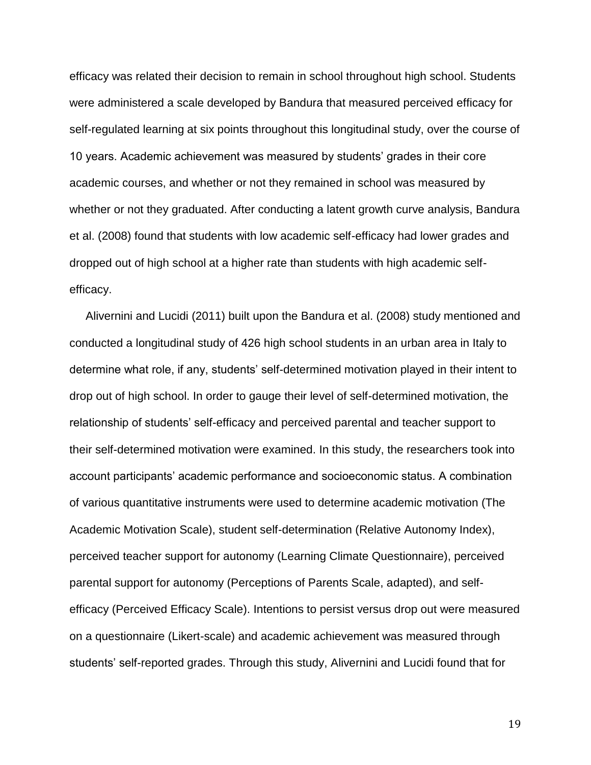efficacy was related their decision to remain in school throughout high school. Students were administered a scale developed by Bandura that measured perceived efficacy for self-regulated learning at six points throughout this longitudinal study, over the course of 10 years. Academic achievement was measured by students' grades in their core academic courses, and whether or not they remained in school was measured by whether or not they graduated. After conducting a latent growth curve analysis, Bandura et al. (2008) found that students with low academic self-efficacy had lower grades and dropped out of high school at a higher rate than students with high academic selfefficacy.

 Alivernini and Lucidi (2011) built upon the Bandura et al. (2008) study mentioned and conducted a longitudinal study of 426 high school students in an urban area in Italy to determine what role, if any, students' self-determined motivation played in their intent to drop out of high school. In order to gauge their level of self-determined motivation, the relationship of students' self-efficacy and perceived parental and teacher support to their self-determined motivation were examined. In this study, the researchers took into account participants' academic performance and socioeconomic status. A combination of various quantitative instruments were used to determine academic motivation (The Academic Motivation Scale), student self-determination (Relative Autonomy Index), perceived teacher support for autonomy (Learning Climate Questionnaire), perceived parental support for autonomy (Perceptions of Parents Scale, adapted), and selfefficacy (Perceived Efficacy Scale). Intentions to persist versus drop out were measured on a questionnaire (Likert-scale) and academic achievement was measured through students' self-reported grades. Through this study, Alivernini and Lucidi found that for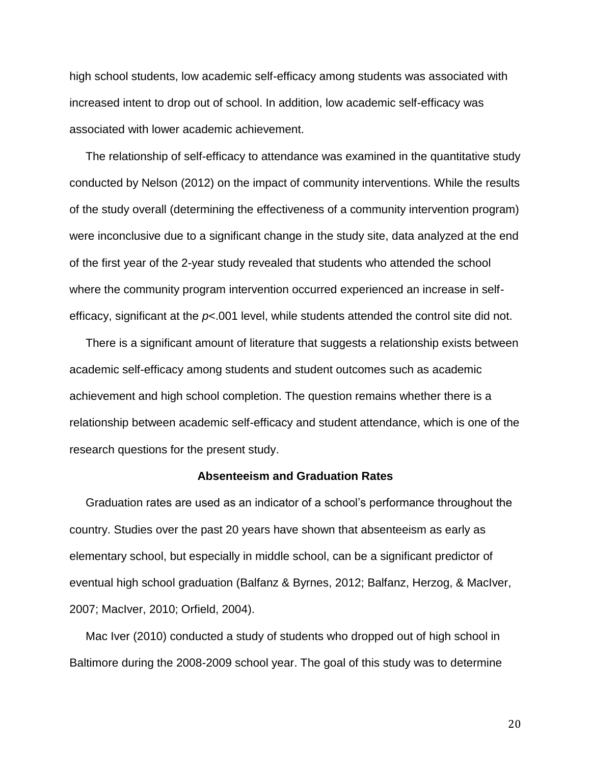high school students, low academic self-efficacy among students was associated with increased intent to drop out of school. In addition, low academic self-efficacy was associated with lower academic achievement.

 The relationship of self-efficacy to attendance was examined in the quantitative study conducted by Nelson (2012) on the impact of community interventions. While the results of the study overall (determining the effectiveness of a community intervention program) were inconclusive due to a significant change in the study site, data analyzed at the end of the first year of the 2-year study revealed that students who attended the school where the community program intervention occurred experienced an increase in selfefficacy, significant at the *p*<.001 level, while students attended the control site did not.

 There is a significant amount of literature that suggests a relationship exists between academic self-efficacy among students and student outcomes such as academic achievement and high school completion. The question remains whether there is a relationship between academic self-efficacy and student attendance, which is one of the research questions for the present study.

#### **Absenteeism and Graduation Rates**

 Graduation rates are used as an indicator of a school's performance throughout the country. Studies over the past 20 years have shown that absenteeism as early as elementary school, but especially in middle school, can be a significant predictor of eventual high school graduation (Balfanz & Byrnes, 2012; Balfanz, Herzog, & MacIver, 2007; MacIver, 2010; Orfield, 2004).

 Mac Iver (2010) conducted a study of students who dropped out of high school in Baltimore during the 2008-2009 school year. The goal of this study was to determine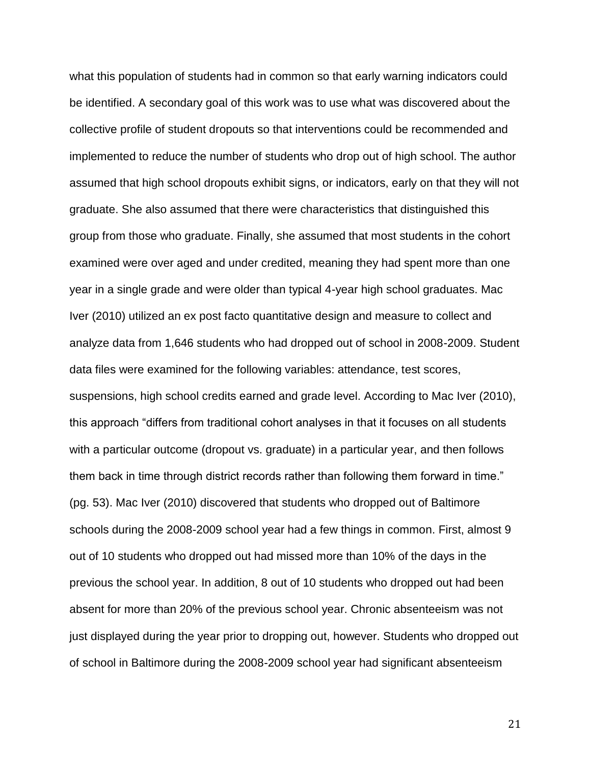what this population of students had in common so that early warning indicators could be identified. A secondary goal of this work was to use what was discovered about the collective profile of student dropouts so that interventions could be recommended and implemented to reduce the number of students who drop out of high school. The author assumed that high school dropouts exhibit signs, or indicators, early on that they will not graduate. She also assumed that there were characteristics that distinguished this group from those who graduate. Finally, she assumed that most students in the cohort examined were over aged and under credited, meaning they had spent more than one year in a single grade and were older than typical 4-year high school graduates. Mac Iver (2010) utilized an ex post facto quantitative design and measure to collect and analyze data from 1,646 students who had dropped out of school in 2008-2009. Student data files were examined for the following variables: attendance, test scores, suspensions, high school credits earned and grade level. According to Mac Iver (2010), this approach "differs from traditional cohort analyses in that it focuses on all students with a particular outcome (dropout vs. graduate) in a particular year, and then follows them back in time through district records rather than following them forward in time." (pg. 53). Mac Iver (2010) discovered that students who dropped out of Baltimore schools during the 2008-2009 school year had a few things in common. First, almost 9 out of 10 students who dropped out had missed more than 10% of the days in the previous the school year. In addition, 8 out of 10 students who dropped out had been absent for more than 20% of the previous school year. Chronic absenteeism was not just displayed during the year prior to dropping out, however. Students who dropped out of school in Baltimore during the 2008-2009 school year had significant absenteeism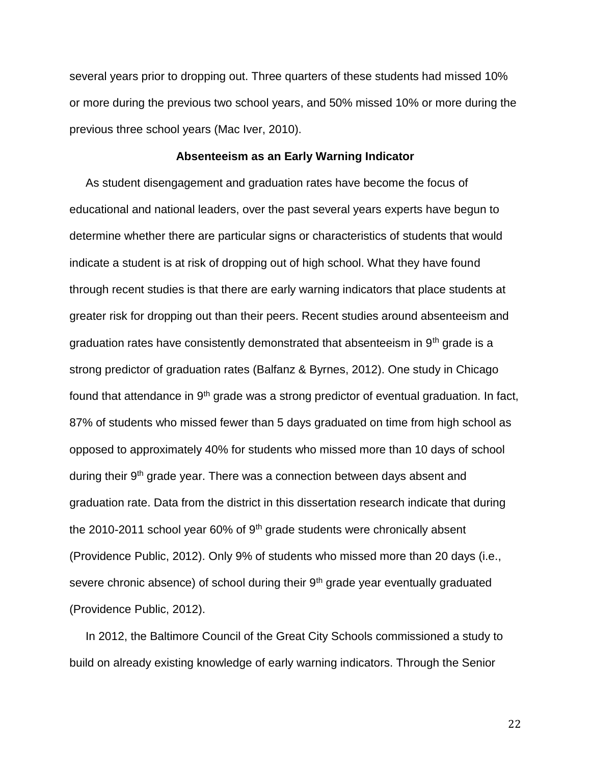several years prior to dropping out. Three quarters of these students had missed 10% or more during the previous two school years, and 50% missed 10% or more during the previous three school years (Mac Iver, 2010).

#### **Absenteeism as an Early Warning Indicator**

 As student disengagement and graduation rates have become the focus of educational and national leaders, over the past several years experts have begun to determine whether there are particular signs or characteristics of students that would indicate a student is at risk of dropping out of high school. What they have found through recent studies is that there are early warning indicators that place students at greater risk for dropping out than their peers. Recent studies around absenteeism and graduation rates have consistently demonstrated that absenteeism in  $9<sup>th</sup>$  grade is a strong predictor of graduation rates (Balfanz & Byrnes, 2012). One study in Chicago found that attendance in 9<sup>th</sup> grade was a strong predictor of eventual graduation. In fact, 87% of students who missed fewer than 5 days graduated on time from high school as opposed to approximately 40% for students who missed more than 10 days of school during their 9<sup>th</sup> grade year. There was a connection between days absent and graduation rate. Data from the district in this dissertation research indicate that during the 2010-2011 school year 60% of  $9<sup>th</sup>$  grade students were chronically absent (Providence Public, 2012). Only 9% of students who missed more than 20 days (i.e., severe chronic absence) of school during their 9<sup>th</sup> grade year eventually graduated (Providence Public, 2012).

 In 2012, the Baltimore Council of the Great City Schools commissioned a study to build on already existing knowledge of early warning indicators. Through the Senior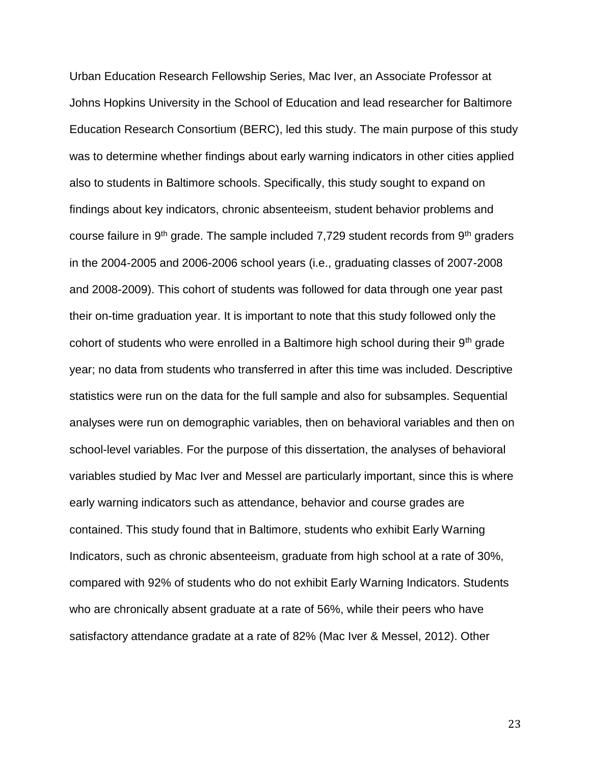Urban Education Research Fellowship Series, Mac Iver, an Associate Professor at Johns Hopkins University in the School of Education and lead researcher for Baltimore Education Research Consortium (BERC), led this study. The main purpose of this study was to determine whether findings about early warning indicators in other cities applied also to students in Baltimore schools. Specifically, this study sought to expand on findings about key indicators, chronic absenteeism, student behavior problems and course failure in 9<sup>th</sup> grade. The sample included 7,729 student records from 9<sup>th</sup> graders in the 2004-2005 and 2006-2006 school years (i.e., graduating classes of 2007-2008 and 2008-2009). This cohort of students was followed for data through one year past their on-time graduation year. It is important to note that this study followed only the cohort of students who were enrolled in a Baltimore high school during their  $9<sup>th</sup>$  grade year; no data from students who transferred in after this time was included. Descriptive statistics were run on the data for the full sample and also for subsamples. Sequential analyses were run on demographic variables, then on behavioral variables and then on school-level variables. For the purpose of this dissertation, the analyses of behavioral variables studied by Mac Iver and Messel are particularly important, since this is where early warning indicators such as attendance, behavior and course grades are contained. This study found that in Baltimore, students who exhibit Early Warning Indicators, such as chronic absenteeism, graduate from high school at a rate of 30%, compared with 92% of students who do not exhibit Early Warning Indicators. Students who are chronically absent graduate at a rate of 56%, while their peers who have satisfactory attendance gradate at a rate of 82% (Mac Iver & Messel, 2012). Other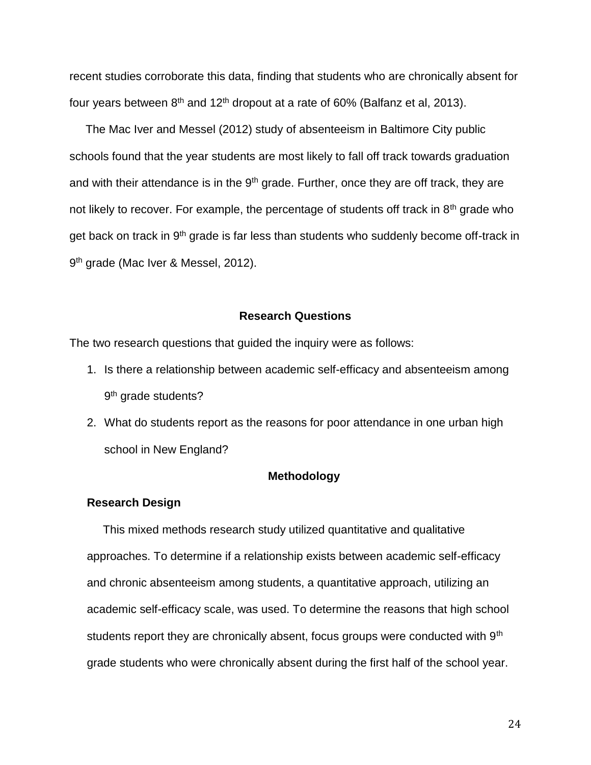recent studies corroborate this data, finding that students who are chronically absent for four years between  $8<sup>th</sup>$  and  $12<sup>th</sup>$  dropout at a rate of 60% (Balfanz et al, 2013).

 The Mac Iver and Messel (2012) study of absenteeism in Baltimore City public schools found that the year students are most likely to fall off track towards graduation and with their attendance is in the  $9<sup>th</sup>$  grade. Further, once they are off track, they are not likely to recover. For example, the percentage of students off track in  $8<sup>th</sup>$  grade who get back on track in 9<sup>th</sup> grade is far less than students who suddenly become off-track in 9<sup>th</sup> grade (Mac Iver & Messel, 2012).

#### **Research Questions**

The two research questions that guided the inquiry were as follows:

- 1. Is there a relationship between academic self-efficacy and absenteeism among 9<sup>th</sup> grade students?
- 2. What do students report as the reasons for poor attendance in one urban high school in New England?

#### **Methodology**

#### **Research Design**

 This mixed methods research study utilized quantitative and qualitative approaches. To determine if a relationship exists between academic self-efficacy and chronic absenteeism among students, a quantitative approach, utilizing an academic self-efficacy scale, was used. To determine the reasons that high school students report they are chronically absent, focus groups were conducted with 9<sup>th</sup> grade students who were chronically absent during the first half of the school year.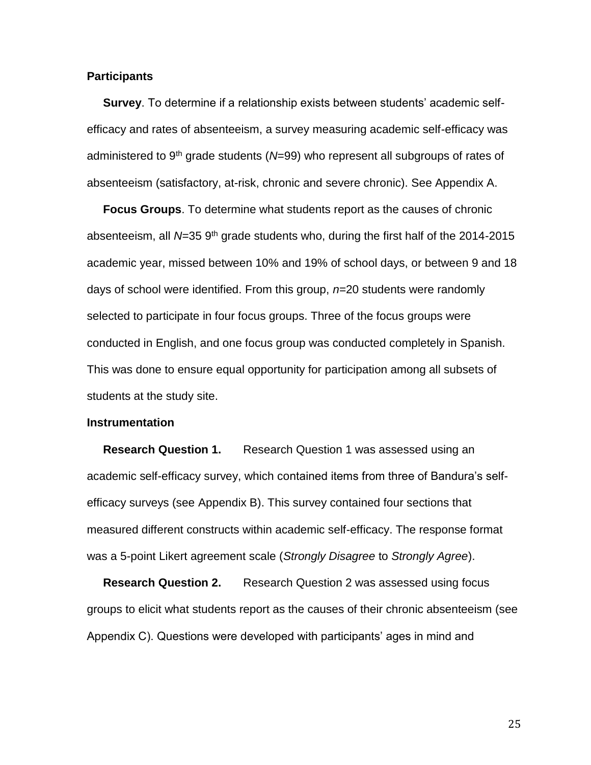#### **Participants**

 **Survey**. To determine if a relationship exists between students' academic selfefficacy and rates of absenteeism, a survey measuring academic self-efficacy was administered to 9th grade students (*N*=99) who represent all subgroups of rates of absenteeism (satisfactory, at-risk, chronic and severe chronic). See Appendix A.

 **Focus Groups**. To determine what students report as the causes of chronic absenteeism, all N=35 9<sup>th</sup> grade students who, during the first half of the 2014-2015 academic year, missed between 10% and 19% of school days, or between 9 and 18 days of school were identified. From this group, *n*=20 students were randomly selected to participate in four focus groups. Three of the focus groups were conducted in English, and one focus group was conducted completely in Spanish. This was done to ensure equal opportunity for participation among all subsets of students at the study site.

#### **Instrumentation**

**Research Question 1.** Research Question 1 was assessed using an academic self-efficacy survey, which contained items from three of Bandura's selfefficacy surveys (see Appendix B). This survey contained four sections that measured different constructs within academic self-efficacy. The response format was a 5-point Likert agreement scale (*Strongly Disagree* to *Strongly Agree*).

**Research Question 2.** Research Question 2 was assessed using focus groups to elicit what students report as the causes of their chronic absenteeism (see Appendix C). Questions were developed with participants' ages in mind and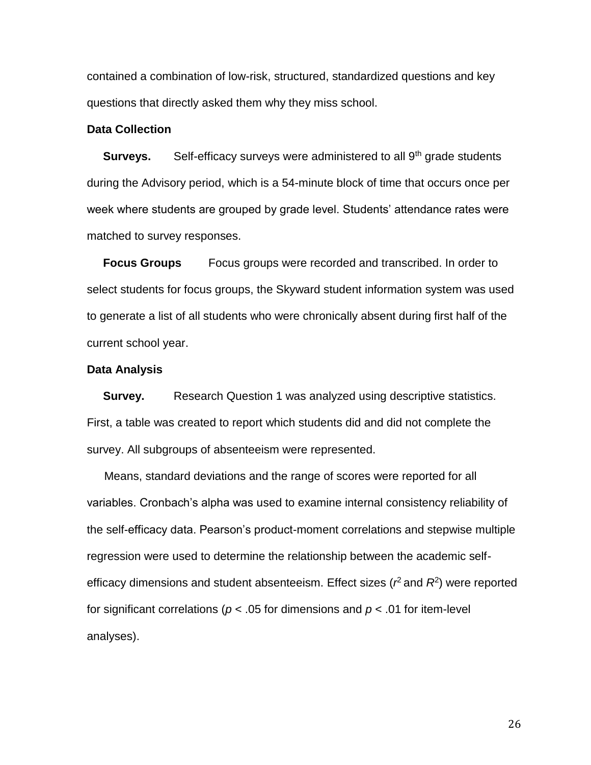contained a combination of low-risk, structured, standardized questions and key questions that directly asked them why they miss school.

### **Data Collection**

**Surveys.** Self-efficacy surveys were administered to all 9<sup>th</sup> grade students during the Advisory period, which is a 54-minute block of time that occurs once per week where students are grouped by grade level. Students' attendance rates were matched to survey responses.

 **Focus Groups** Focus groups were recorded and transcribed. In order to select students for focus groups, the Skyward student information system was used to generate a list of all students who were chronically absent during first half of the current school year.

#### **Data Analysis**

**Survey.** Research Question 1 was analyzed using descriptive statistics. First, a table was created to report which students did and did not complete the survey. All subgroups of absenteeism were represented.

Means, standard deviations and the range of scores were reported for all variables. Cronbach's alpha was used to examine internal consistency reliability of the self-efficacy data. Pearson's product-moment correlations and stepwise multiple regression were used to determine the relationship between the academic selfefficacy dimensions and student absenteeism. Effect sizes ( $r^2$  and  $R^2$ ) were reported for significant correlations (*p* < .05 for dimensions and *p* < .01 for item-level analyses).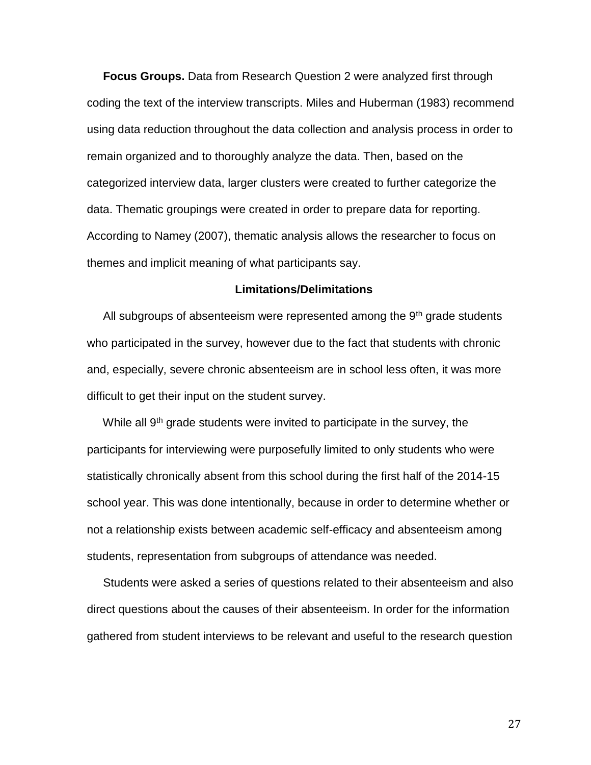**Focus Groups.** Data from Research Question 2 were analyzed first through coding the text of the interview transcripts. Miles and Huberman (1983) recommend using data reduction throughout the data collection and analysis process in order to remain organized and to thoroughly analyze the data. Then, based on the categorized interview data, larger clusters were created to further categorize the data. Thematic groupings were created in order to prepare data for reporting. According to Namey (2007), thematic analysis allows the researcher to focus on themes and implicit meaning of what participants say.

#### **Limitations/Delimitations**

All subgroups of absenteeism were represented among the  $9<sup>th</sup>$  grade students who participated in the survey, however due to the fact that students with chronic and, especially, severe chronic absenteeism are in school less often, it was more difficult to get their input on the student survey.

While all 9<sup>th</sup> grade students were invited to participate in the survey, the participants for interviewing were purposefully limited to only students who were statistically chronically absent from this school during the first half of the 2014-15 school year. This was done intentionally, because in order to determine whether or not a relationship exists between academic self-efficacy and absenteeism among students, representation from subgroups of attendance was needed.

 Students were asked a series of questions related to their absenteeism and also direct questions about the causes of their absenteeism. In order for the information gathered from student interviews to be relevant and useful to the research question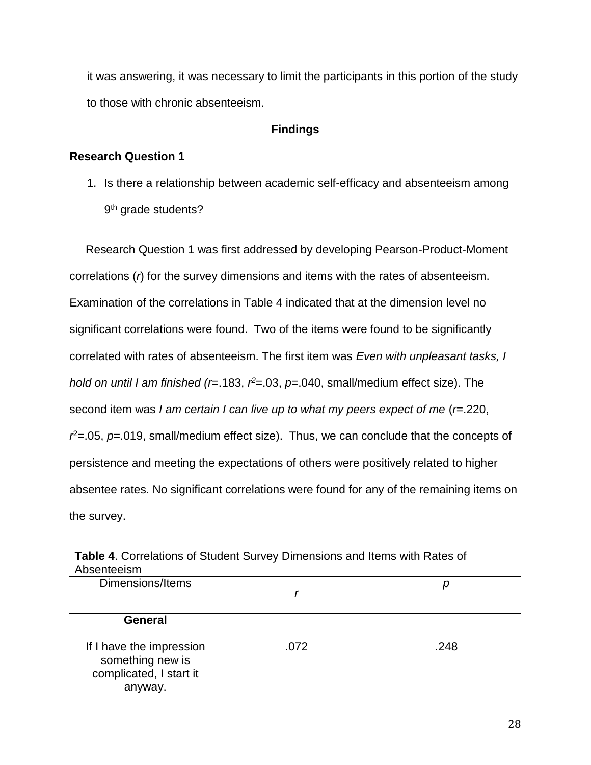it was answering, it was necessary to limit the participants in this portion of the study to those with chronic absenteeism.

#### **Findings**

#### **Research Question 1**

1. Is there a relationship between academic self-efficacy and absenteeism among 9<sup>th</sup> grade students?

 Research Question 1 was first addressed by developing Pearson-Product-Moment correlations (*r*) for the survey dimensions and items with the rates of absenteeism. Examination of the correlations in Table 4 indicated that at the dimension level no significant correlations were found. Two of the items were found to be significantly correlated with rates of absenteeism. The first item was *Even with unpleasant tasks, I hold on until I am finished (r*=.183, *r*<sup>2</sup>=.03, *p*=.040, small/medium effect size). The second item was *I am certain I can live up to what my peers expect of me (r=.220,*  $r^2$ =.05,  $p$ =.019, small/medium effect size). Thus, we can conclude that the concepts of persistence and meeting the expectations of others were positively related to higher absentee rates. No significant correlations were found for any of the remaining items on the survey.

| Absenteeism                                                                        |      |      |
|------------------------------------------------------------------------------------|------|------|
| Dimensions/Items                                                                   |      | р    |
| <b>General</b>                                                                     |      |      |
| If I have the impression<br>something new is<br>complicated, I start it<br>anyway. | .072 | .248 |

**Table 4**. Correlations of Student Survey Dimensions and Items with Rates of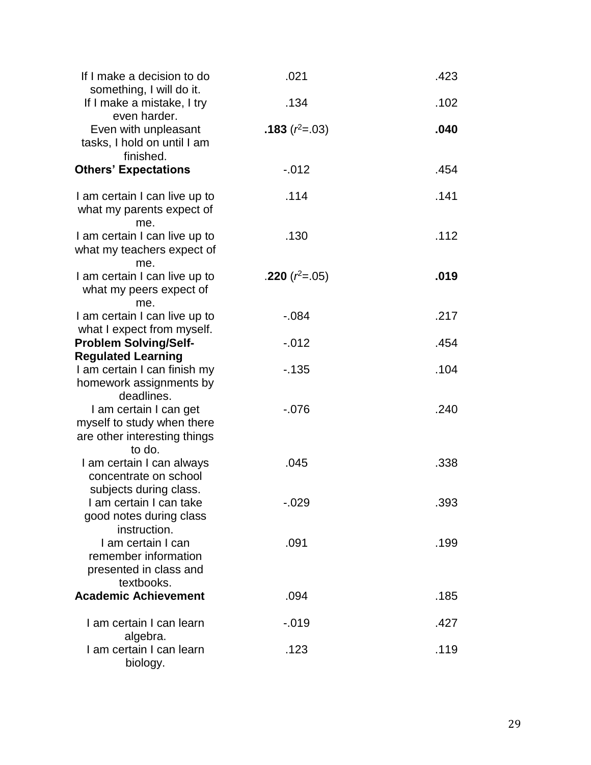| If I make a decision to do<br>something, I will do it.                                         | .021             | .423 |
|------------------------------------------------------------------------------------------------|------------------|------|
| If I make a mistake, I try<br>even harder.                                                     | .134             | .102 |
| Even with unpleasant<br>tasks, I hold on until I am<br>finished.                               | .183 $(r^2=.03)$ | .040 |
| <b>Others' Expectations</b>                                                                    | $-0.012$         | .454 |
| I am certain I can live up to<br>what my parents expect of<br>me.                              | .114             | .141 |
| I am certain I can live up to<br>what my teachers expect of<br>me.                             | .130             | .112 |
| I am certain I can live up to<br>what my peers expect of<br>me.                                | .220 $(r^2=.05)$ | .019 |
| I am certain I can live up to<br>what I expect from myself.                                    | $-.084$          | .217 |
| <b>Problem Solving/Self-</b><br><b>Regulated Learning</b>                                      | $-0.012$         | .454 |
| I am certain I can finish my<br>homework assignments by<br>deadlines.                          | $-135$           | .104 |
| I am certain I can get<br>myself to study when there<br>are other interesting things<br>to do. | $-0.076$         | .240 |
| I am certain I can always<br>concentrate on school<br>subjects during class.                   | .045             | .338 |
| I am certain I can take<br>good notes during class<br>instruction.                             | -.029            | .393 |
| I am certain I can<br>remember information<br>presented in class and<br>textbooks.             | .091             | .199 |
| <b>Academic Achievement</b>                                                                    | .094             | .185 |
| I am certain I can learn<br>algebra.                                                           | $-0.019$         | .427 |
| I am certain I can learn<br>biology.                                                           | .123             | .119 |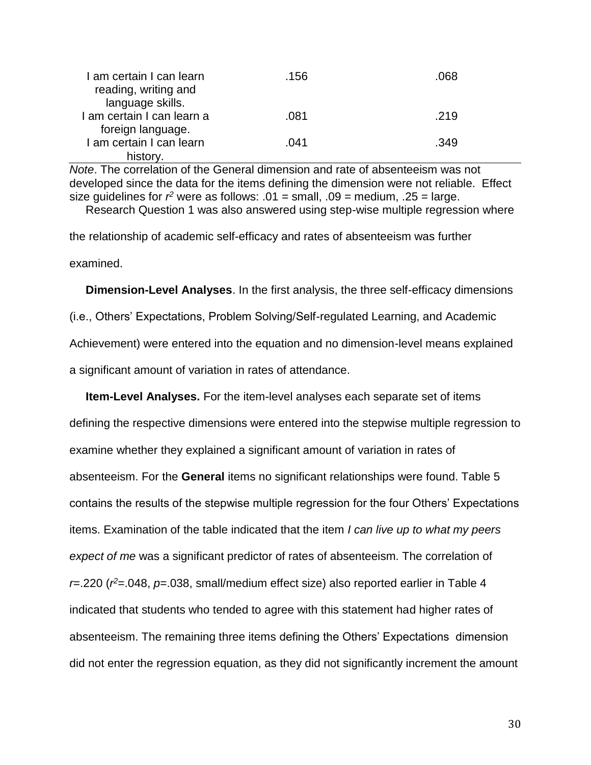| I am certain I can learn   | .156 | .068 |
|----------------------------|------|------|
| reading, writing and       |      |      |
| language skills.           |      |      |
| I am certain I can learn a | .081 | .219 |
| foreign language.          |      |      |
| I am certain I can learn   | .041 | .349 |
| history.                   |      |      |

*Note*. The correlation of the General dimension and rate of absenteeism was not developed since the data for the items defining the dimension were not reliable. Effect size guidelines for  $r^2$  were as follows: .01 = small, .09 = medium, .25 = large. Research Question 1 was also answered using step-wise multiple regression where

the relationship of academic self-efficacy and rates of absenteeism was further examined.

 **Dimension-Level Analyses**. In the first analysis, the three self-efficacy dimensions (i.e., Others' Expectations, Problem Solving/Self-regulated Learning, and Academic Achievement) were entered into the equation and no dimension-level means explained a significant amount of variation in rates of attendance.

 **Item-Level Analyses.** For the item-level analyses each separate set of items defining the respective dimensions were entered into the stepwise multiple regression to examine whether they explained a significant amount of variation in rates of absenteeism. For the **General** items no significant relationships were found. Table 5 contains the results of the stepwise multiple regression for the four Others' Expectations items. Examination of the table indicated that the item *I can live up to what my peers expect of me* was a significant predictor of rates of absenteeism. The correlation of *r*=.220 (*r <sup>2</sup>*=.048, *p*=.038, small/medium effect size) also reported earlier in Table 4 indicated that students who tended to agree with this statement had higher rates of absenteeism. The remaining three items defining the Others' Expectations dimension did not enter the regression equation, as they did not significantly increment the amount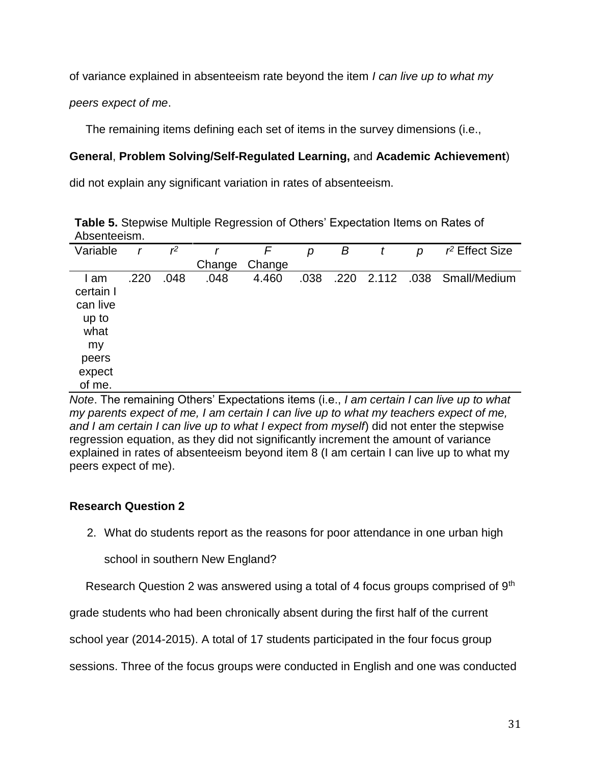of variance explained in absenteeism rate beyond the item *I can live up to what my* 

*peers expect of me*.

The remaining items defining each set of items in the survey dimensions (i.e.,

# **General**, **Problem Solving/Self-Regulated Learning,** and **Academic Achievement**)

did not explain any significant variation in rates of absenteeism.

**Table 5.** Stepwise Multiple Regression of Others' Expectation Items on Rates of Absenteeism.

| Variable  | r    | $r^2$ |        | F      | р    | В    |       | р | $r^2$ Effect Size |
|-----------|------|-------|--------|--------|------|------|-------|---|-------------------|
|           |      |       | Change | Change |      |      |       |   |                   |
| l am      | .220 | .048  | .048   | 4.460  | .038 | .220 | 2.112 |   | .038 Small/Medium |
| certain I |      |       |        |        |      |      |       |   |                   |
| can live  |      |       |        |        |      |      |       |   |                   |
| up to     |      |       |        |        |      |      |       |   |                   |
| what      |      |       |        |        |      |      |       |   |                   |
| my        |      |       |        |        |      |      |       |   |                   |
| peers     |      |       |        |        |      |      |       |   |                   |
| expect    |      |       |        |        |      |      |       |   |                   |
| of me.    |      |       |        |        |      |      |       |   |                   |

*Note*. The remaining Others' Expectations items (i.e., *I am certain I can live up to what my parents expect of me, I am certain I can live up to what my teachers expect of me, and I am certain I can live up to what I expect from myself*) did not enter the stepwise regression equation, as they did not significantly increment the amount of variance explained in rates of absenteeism beyond item 8 (I am certain I can live up to what my peers expect of me).

# **Research Question 2**

2. What do students report as the reasons for poor attendance in one urban high

school in southern New England?

Research Question 2 was answered using a total of 4 focus groups comprised of 9<sup>th</sup>

grade students who had been chronically absent during the first half of the current

school year (2014-2015). A total of 17 students participated in the four focus group

sessions. Three of the focus groups were conducted in English and one was conducted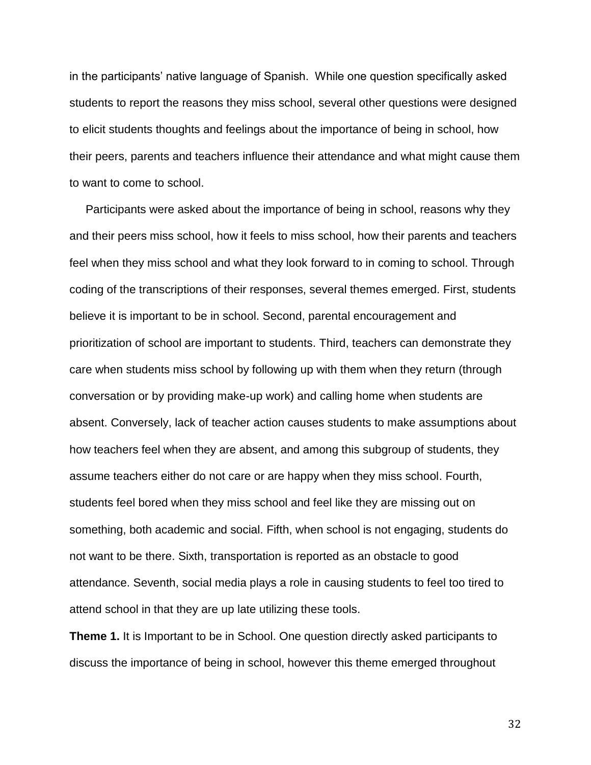in the participants' native language of Spanish. While one question specifically asked students to report the reasons they miss school, several other questions were designed to elicit students thoughts and feelings about the importance of being in school, how their peers, parents and teachers influence their attendance and what might cause them to want to come to school.

 Participants were asked about the importance of being in school, reasons why they and their peers miss school, how it feels to miss school, how their parents and teachers feel when they miss school and what they look forward to in coming to school. Through coding of the transcriptions of their responses, several themes emerged. First, students believe it is important to be in school. Second, parental encouragement and prioritization of school are important to students. Third, teachers can demonstrate they care when students miss school by following up with them when they return (through conversation or by providing make-up work) and calling home when students are absent. Conversely, lack of teacher action causes students to make assumptions about how teachers feel when they are absent, and among this subgroup of students, they assume teachers either do not care or are happy when they miss school. Fourth, students feel bored when they miss school and feel like they are missing out on something, both academic and social. Fifth, when school is not engaging, students do not want to be there. Sixth, transportation is reported as an obstacle to good attendance. Seventh, social media plays a role in causing students to feel too tired to attend school in that they are up late utilizing these tools.

**Theme 1.** It is Important to be in School. One question directly asked participants to discuss the importance of being in school, however this theme emerged throughout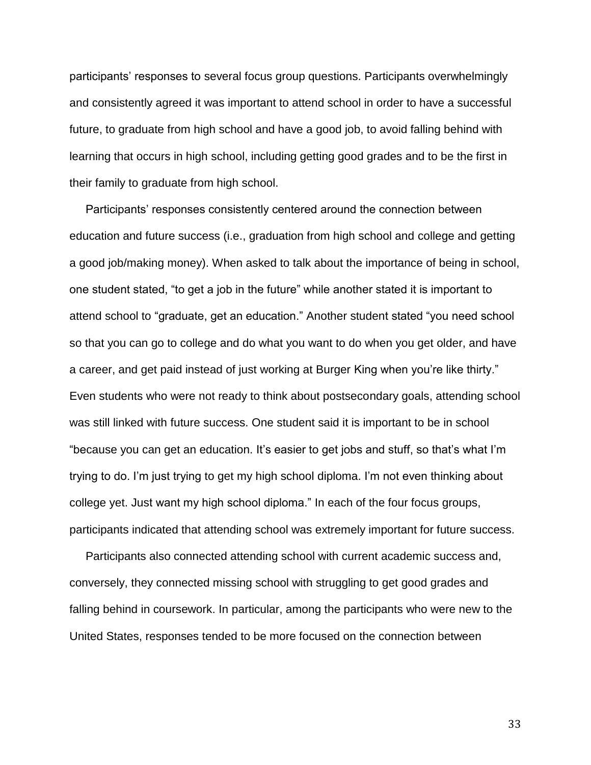participants' responses to several focus group questions. Participants overwhelmingly and consistently agreed it was important to attend school in order to have a successful future, to graduate from high school and have a good job, to avoid falling behind with learning that occurs in high school, including getting good grades and to be the first in their family to graduate from high school.

 Participants' responses consistently centered around the connection between education and future success (i.e., graduation from high school and college and getting a good job/making money). When asked to talk about the importance of being in school, one student stated, "to get a job in the future" while another stated it is important to attend school to "graduate, get an education." Another student stated "you need school so that you can go to college and do what you want to do when you get older, and have a career, and get paid instead of just working at Burger King when you're like thirty." Even students who were not ready to think about postsecondary goals, attending school was still linked with future success. One student said it is important to be in school "because you can get an education. It's easier to get jobs and stuff, so that's what I'm trying to do. I'm just trying to get my high school diploma. I'm not even thinking about college yet. Just want my high school diploma." In each of the four focus groups, participants indicated that attending school was extremely important for future success.

 Participants also connected attending school with current academic success and, conversely, they connected missing school with struggling to get good grades and falling behind in coursework. In particular, among the participants who were new to the United States, responses tended to be more focused on the connection between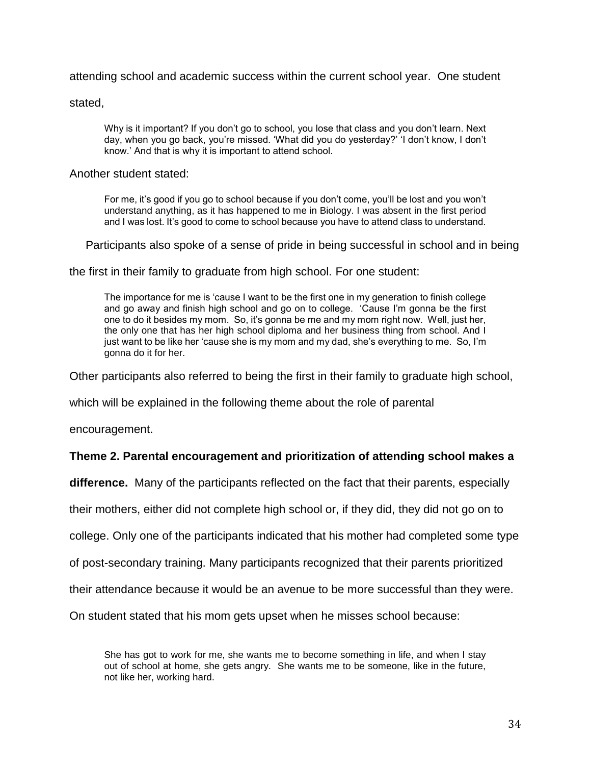attending school and academic success within the current school year. One student

stated,

Why is it important? If you don't go to school, you lose that class and you don't learn. Next day, when you go back, you're missed. 'What did you do yesterday?' 'I don't know, I don't know.' And that is why it is important to attend school.

#### Another student stated:

For me, it's good if you go to school because if you don't come, you'll be lost and you won't understand anything, as it has happened to me in Biology. I was absent in the first period and I was lost. It's good to come to school because you have to attend class to understand.

Participants also spoke of a sense of pride in being successful in school and in being

the first in their family to graduate from high school. For one student:

 The importance for me is 'cause I want to be the first one in my generation to finish college and go away and finish high school and go on to college. 'Cause I'm gonna be the first one to do it besides my mom. So, it's gonna be me and my mom right now. Well, just her, the only one that has her high school diploma and her business thing from school. And I just want to be like her 'cause she is my mom and my dad, she's everything to me. So, I'm gonna do it for her.

Other participants also referred to being the first in their family to graduate high school,

which will be explained in the following theme about the role of parental

encouragement.

#### **Theme 2. Parental encouragement and prioritization of attending school makes a**

**difference.** Many of the participants reflected on the fact that their parents, especially

their mothers, either did not complete high school or, if they did, they did not go on to

college. Only one of the participants indicated that his mother had completed some type

of post-secondary training. Many participants recognized that their parents prioritized

their attendance because it would be an avenue to be more successful than they were.

On student stated that his mom gets upset when he misses school because:

She has got to work for me, she wants me to become something in life, and when I stay out of school at home, she gets angry. She wants me to be someone, like in the future, not like her, working hard.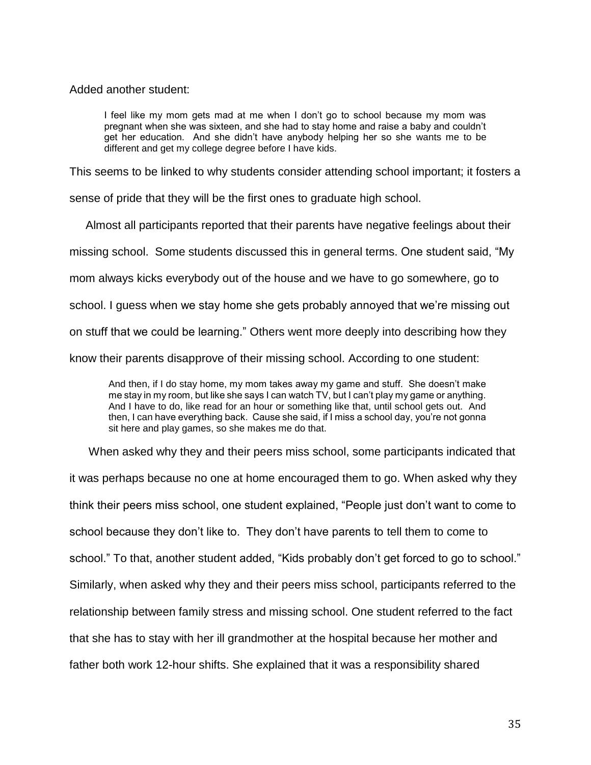Added another student:

I feel like my mom gets mad at me when I don't go to school because my mom was pregnant when she was sixteen, and she had to stay home and raise a baby and couldn't get her education. And she didn't have anybody helping her so she wants me to be different and get my college degree before I have kids.

This seems to be linked to why students consider attending school important; it fosters a

sense of pride that they will be the first ones to graduate high school.

 Almost all participants reported that their parents have negative feelings about their missing school. Some students discussed this in general terms. One student said, "My mom always kicks everybody out of the house and we have to go somewhere, go to school. I guess when we stay home she gets probably annoyed that we're missing out on stuff that we could be learning." Others went more deeply into describing how they know their parents disapprove of their missing school. According to one student:

And then, if I do stay home, my mom takes away my game and stuff. She doesn't make me stay in my room, but like she says I can watch TV, but I can't play my game or anything. And I have to do, like read for an hour or something like that, until school gets out. And then, I can have everything back. Cause she said, if I miss a school day, you're not gonna sit here and play games, so she makes me do that.

 When asked why they and their peers miss school, some participants indicated that it was perhaps because no one at home encouraged them to go. When asked why they think their peers miss school, one student explained, "People just don't want to come to school because they don't like to. They don't have parents to tell them to come to school." To that, another student added, "Kids probably don't get forced to go to school." Similarly, when asked why they and their peers miss school, participants referred to the relationship between family stress and missing school. One student referred to the fact that she has to stay with her ill grandmother at the hospital because her mother and father both work 12-hour shifts. She explained that it was a responsibility shared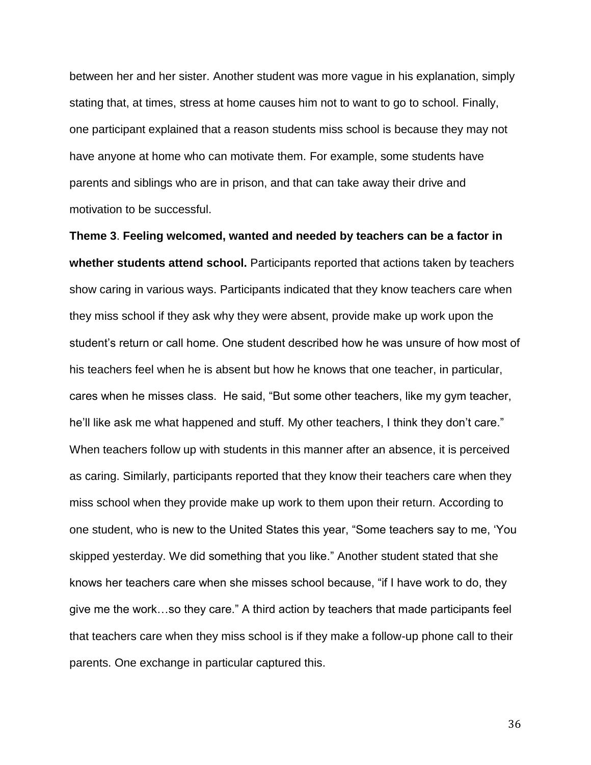between her and her sister. Another student was more vague in his explanation, simply stating that, at times, stress at home causes him not to want to go to school. Finally, one participant explained that a reason students miss school is because they may not have anyone at home who can motivate them. For example, some students have parents and siblings who are in prison, and that can take away their drive and motivation to be successful.

**Theme 3**. **Feeling welcomed, wanted and needed by teachers can be a factor in whether students attend school.** Participants reported that actions taken by teachers show caring in various ways. Participants indicated that they know teachers care when they miss school if they ask why they were absent, provide make up work upon the student's return or call home. One student described how he was unsure of how most of his teachers feel when he is absent but how he knows that one teacher, in particular, cares when he misses class. He said, "But some other teachers, like my gym teacher, he'll like ask me what happened and stuff. My other teachers, I think they don't care." When teachers follow up with students in this manner after an absence, it is perceived as caring. Similarly, participants reported that they know their teachers care when they miss school when they provide make up work to them upon their return. According to one student, who is new to the United States this year, "Some teachers say to me, 'You skipped yesterday. We did something that you like." Another student stated that she knows her teachers care when she misses school because, "if I have work to do, they give me the work…so they care." A third action by teachers that made participants feel that teachers care when they miss school is if they make a follow-up phone call to their parents. One exchange in particular captured this.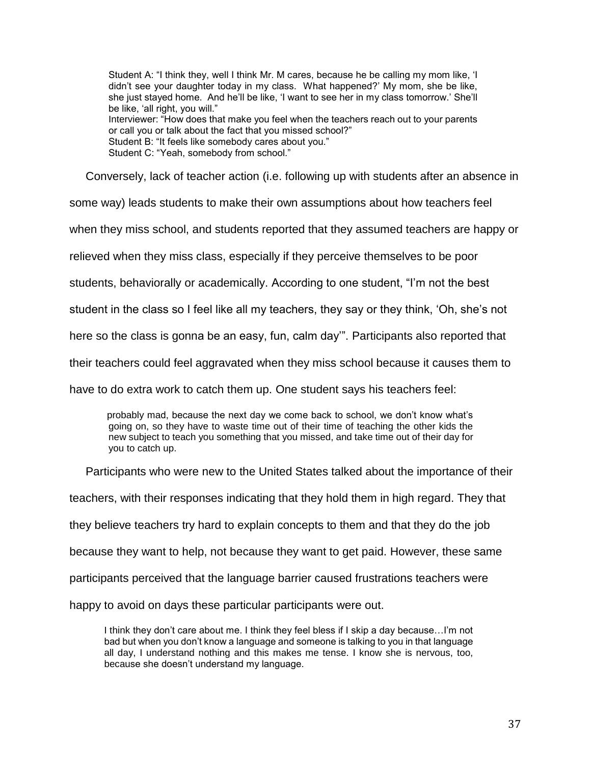Student A: "I think they, well I think Mr. M cares, because he be calling my mom like, 'I didn't see your daughter today in my class. What happened?' My mom, she be like, she just stayed home. And he'll be like, 'I want to see her in my class tomorrow.' She'll be like, 'all right, you will." Interviewer: "How does that make you feel when the teachers reach out to your parents or call you or talk about the fact that you missed school?" Student B: "It feels like somebody cares about you." Student C: "Yeah, somebody from school."

Conversely, lack of teacher action (i.e. following up with students after an absence in

some way) leads students to make their own assumptions about how teachers feel

when they miss school, and students reported that they assumed teachers are happy or

relieved when they miss class, especially if they perceive themselves to be poor

students, behaviorally or academically. According to one student, "I'm not the best

student in the class so I feel like all my teachers, they say or they think, 'Oh, she's not

here so the class is gonna be an easy, fun, calm day'". Participants also reported that

their teachers could feel aggravated when they miss school because it causes them to

have to do extra work to catch them up. One student says his teachers feel:

 probably mad, because the next day we come back to school, we don't know what's going on, so they have to waste time out of their time of teaching the other kids the new subject to teach you something that you missed, and take time out of their day for you to catch up.

Participants who were new to the United States talked about the importance of their

teachers, with their responses indicating that they hold them in high regard. They that

they believe teachers try hard to explain concepts to them and that they do the job

because they want to help, not because they want to get paid. However, these same

participants perceived that the language barrier caused frustrations teachers were

happy to avoid on days these particular participants were out.

 I think they don't care about me. I think they feel bless if I skip a day because…I'm not bad but when you don't know a language and someone is talking to you in that language all day, I understand nothing and this makes me tense. I know she is nervous, too, because she doesn't understand my language.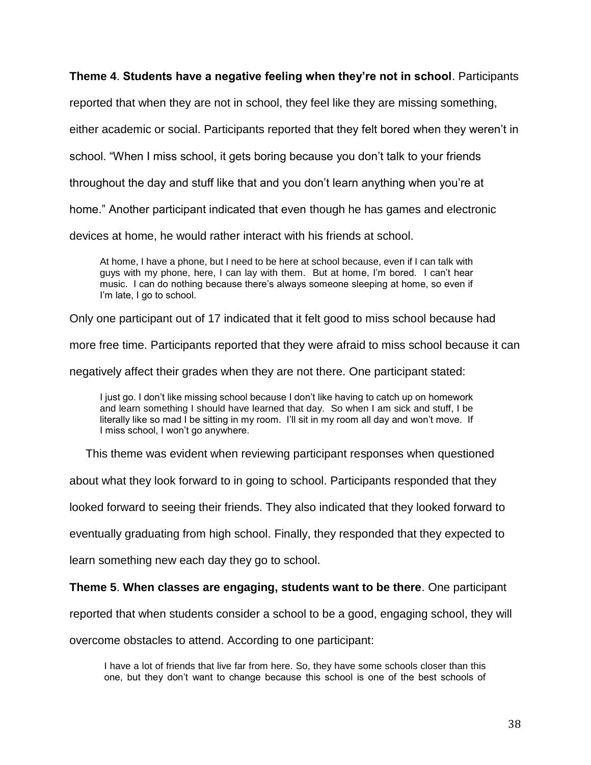### **Theme 4**. **Students have a negative feeling when they're not in school**. Participants

reported that when they are not in school, they feel like they are missing something,

either academic or social. Participants reported that they felt bored when they weren't in

school. "When I miss school, it gets boring because you don't talk to your friends

throughout the day and stuff like that and you don't learn anything when you're at

home." Another participant indicated that even though he has games and electronic

devices at home, he would rather interact with his friends at school.

At home, I have a phone, but I need to be here at school because, even if I can talk with guys with my phone, here, I can lay with them. But at home, I'm bored. I can't hear music. I can do nothing because there's always someone sleeping at home, so even if I'm late, I go to school.

Only one participant out of 17 indicated that it felt good to miss school because had

more free time. Participants reported that they were afraid to miss school because it can

negatively affect their grades when they are not there. One participant stated:

I just go. I don't like missing school because I don't like having to catch up on homework and learn something I should have learned that day. So when I am sick and stuff, I be literally like so mad I be sitting in my room. I'll sit in my room all day and won't move. If I miss school, I won't go anywhere.

This theme was evident when reviewing participant responses when questioned

about what they look forward to in going to school. Participants responded that they

looked forward to seeing their friends. They also indicated that they looked forward to

eventually graduating from high school. Finally, they responded that they expected to

learn something new each day they go to school.

**Theme 5**. **When classes are engaging, students want to be there**. One participant

reported that when students consider a school to be a good, engaging school, they will

overcome obstacles to attend. According to one participant:

 I have a lot of friends that live far from here. So, they have some schools closer than this one, but they don't want to change because this school is one of the best schools of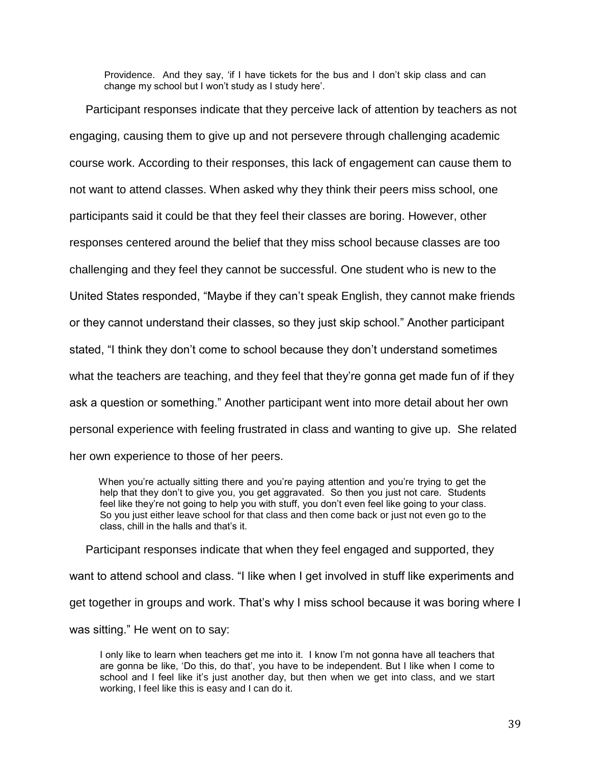Providence. And they say, 'if I have tickets for the bus and I don't skip class and can change my school but I won't study as I study here'.

 Participant responses indicate that they perceive lack of attention by teachers as not engaging, causing them to give up and not persevere through challenging academic course work. According to their responses, this lack of engagement can cause them to not want to attend classes. When asked why they think their peers miss school, one participants said it could be that they feel their classes are boring. However, other responses centered around the belief that they miss school because classes are too challenging and they feel they cannot be successful. One student who is new to the United States responded, "Maybe if they can't speak English, they cannot make friends or they cannot understand their classes, so they just skip school." Another participant stated, "I think they don't come to school because they don't understand sometimes what the teachers are teaching, and they feel that they're gonna get made fun of if they ask a question or something." Another participant went into more detail about her own personal experience with feeling frustrated in class and wanting to give up. She related her own experience to those of her peers.

 When you're actually sitting there and you're paying attention and you're trying to get the help that they don't to give you, you get aggravated. So then you just not care. Students feel like they're not going to help you with stuff, you don't even feel like going to your class. So you just either leave school for that class and then come back or just not even go to the class, chill in the halls and that's it.

 Participant responses indicate that when they feel engaged and supported, they want to attend school and class. "I like when I get involved in stuff like experiments and get together in groups and work. That's why I miss school because it was boring where I was sitting." He went on to say:

I only like to learn when teachers get me into it. I know I'm not gonna have all teachers that are gonna be like, 'Do this, do that', you have to be independent. But I like when I come to school and I feel like it's just another day, but then when we get into class, and we start working, I feel like this is easy and I can do it.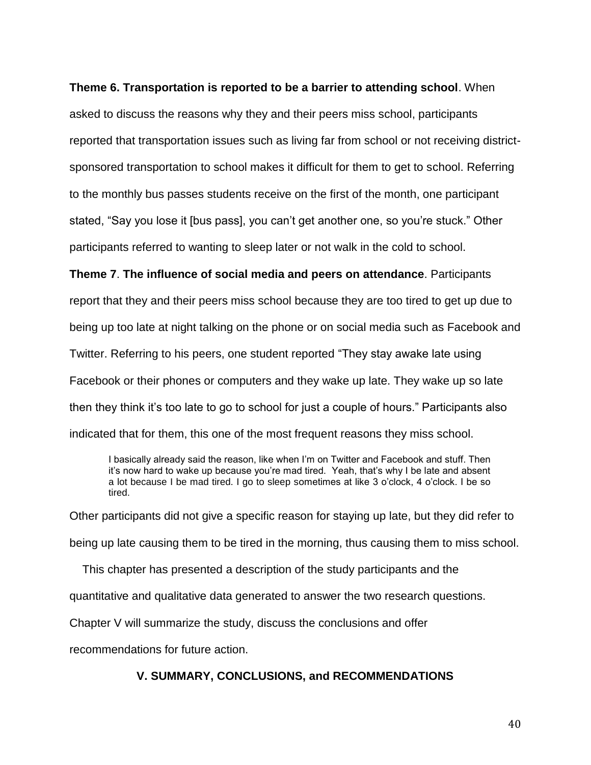#### **Theme 6. Transportation is reported to be a barrier to attending school**. When

asked to discuss the reasons why they and their peers miss school, participants reported that transportation issues such as living far from school or not receiving districtsponsored transportation to school makes it difficult for them to get to school. Referring to the monthly bus passes students receive on the first of the month, one participant stated, "Say you lose it [bus pass], you can't get another one, so you're stuck." Other participants referred to wanting to sleep later or not walk in the cold to school.

**Theme 7**. **The influence of social media and peers on attendance**. Participants report that they and their peers miss school because they are too tired to get up due to being up too late at night talking on the phone or on social media such as Facebook and Twitter. Referring to his peers, one student reported "They stay awake late using Facebook or their phones or computers and they wake up late. They wake up so late then they think it's too late to go to school for just a couple of hours." Participants also indicated that for them, this one of the most frequent reasons they miss school.

I basically already said the reason, like when I'm on Twitter and Facebook and stuff. Then it's now hard to wake up because you're mad tired. Yeah, that's why I be late and absent a lot because I be mad tired. I go to sleep sometimes at like 3 o'clock, 4 o'clock. I be so tired.

Other participants did not give a specific reason for staying up late, but they did refer to being up late causing them to be tired in the morning, thus causing them to miss school.

This chapter has presented a description of the study participants and the

quantitative and qualitative data generated to answer the two research questions.

Chapter V will summarize the study, discuss the conclusions and offer

recommendations for future action.

## **V. SUMMARY, CONCLUSIONS, and RECOMMENDATIONS**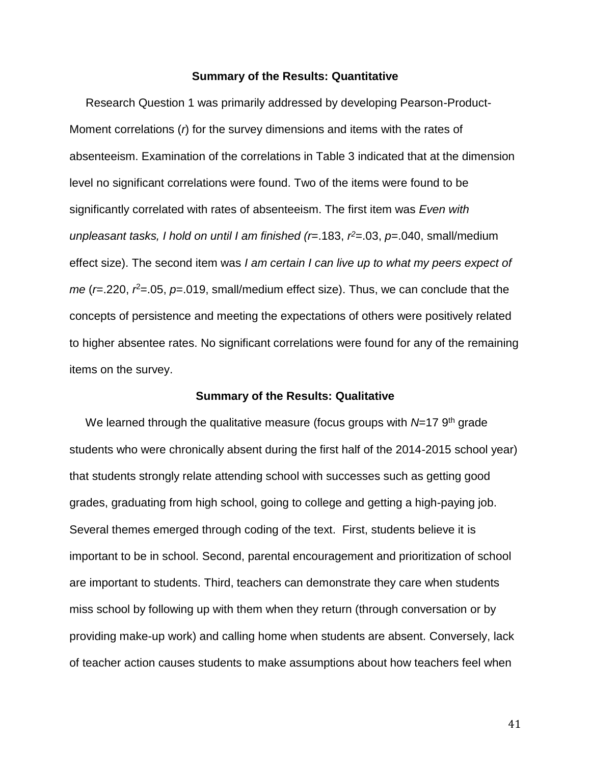#### **Summary of the Results: Quantitative**

 Research Question 1 was primarily addressed by developing Pearson-Product-Moment correlations (*r*) for the survey dimensions and items with the rates of absenteeism. Examination of the correlations in Table 3 indicated that at the dimension level no significant correlations were found. Two of the items were found to be significantly correlated with rates of absenteeism. The first item was *Even with unpleasant tasks, I hold on until I am finished (r*=.183, *r <sup>2</sup>*=.03, *p*=.040, small/medium effect size). The second item was *I am certain I can live up to what my peers expect of me* (*r*=.220, *r*<sup>2</sup>=.05, *p*=.019, small/medium effect size). Thus, we can conclude that the concepts of persistence and meeting the expectations of others were positively related to higher absentee rates. No significant correlations were found for any of the remaining items on the survey.

#### **Summary of the Results: Qualitative**

We learned through the qualitative measure (focus groups with *N*=17 9<sup>th</sup> grade students who were chronically absent during the first half of the 2014-2015 school year) that students strongly relate attending school with successes such as getting good grades, graduating from high school, going to college and getting a high-paying job. Several themes emerged through coding of the text. First, students believe it is important to be in school. Second, parental encouragement and prioritization of school are important to students. Third, teachers can demonstrate they care when students miss school by following up with them when they return (through conversation or by providing make-up work) and calling home when students are absent. Conversely, lack of teacher action causes students to make assumptions about how teachers feel when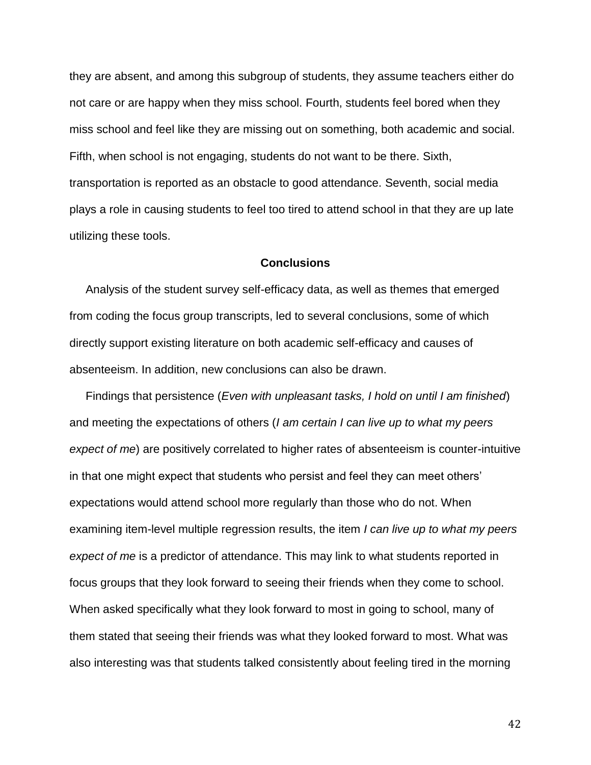they are absent, and among this subgroup of students, they assume teachers either do not care or are happy when they miss school. Fourth, students feel bored when they miss school and feel like they are missing out on something, both academic and social. Fifth, when school is not engaging, students do not want to be there. Sixth, transportation is reported as an obstacle to good attendance. Seventh, social media plays a role in causing students to feel too tired to attend school in that they are up late utilizing these tools.

#### **Conclusions**

 Analysis of the student survey self-efficacy data, as well as themes that emerged from coding the focus group transcripts, led to several conclusions, some of which directly support existing literature on both academic self-efficacy and causes of absenteeism. In addition, new conclusions can also be drawn.

 Findings that persistence (*Even with unpleasant tasks, I hold on until I am finished*) and meeting the expectations of others (*I am certain I can live up to what my peers expect of me*) are positively correlated to higher rates of absenteeism is counter-intuitive in that one might expect that students who persist and feel they can meet others' expectations would attend school more regularly than those who do not. When examining item-level multiple regression results, the item *I can live up to what my peers expect of me* is a predictor of attendance. This may link to what students reported in focus groups that they look forward to seeing their friends when they come to school. When asked specifically what they look forward to most in going to school, many of them stated that seeing their friends was what they looked forward to most. What was also interesting was that students talked consistently about feeling tired in the morning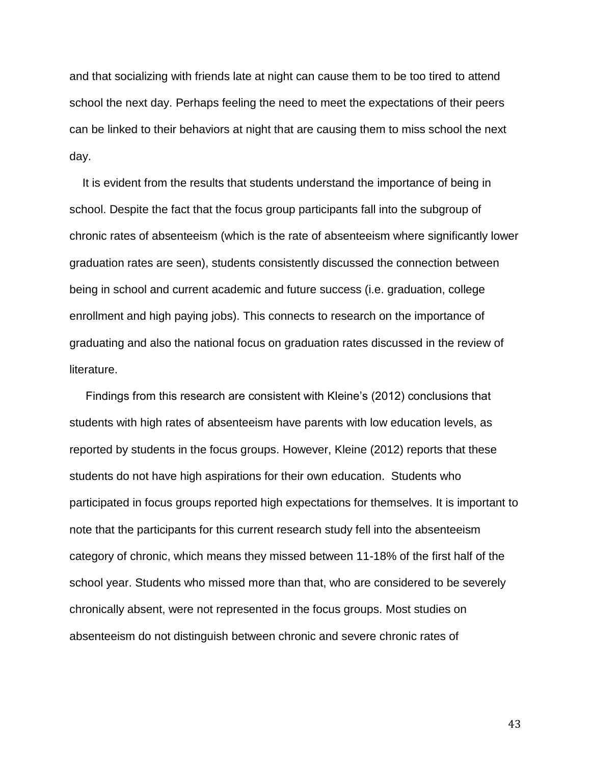and that socializing with friends late at night can cause them to be too tired to attend school the next day. Perhaps feeling the need to meet the expectations of their peers can be linked to their behaviors at night that are causing them to miss school the next day.

 It is evident from the results that students understand the importance of being in school. Despite the fact that the focus group participants fall into the subgroup of chronic rates of absenteeism (which is the rate of absenteeism where significantly lower graduation rates are seen), students consistently discussed the connection between being in school and current academic and future success (i.e. graduation, college enrollment and high paying jobs). This connects to research on the importance of graduating and also the national focus on graduation rates discussed in the review of literature.

 Findings from this research are consistent with Kleine's (2012) conclusions that students with high rates of absenteeism have parents with low education levels, as reported by students in the focus groups. However, Kleine (2012) reports that these students do not have high aspirations for their own education. Students who participated in focus groups reported high expectations for themselves. It is important to note that the participants for this current research study fell into the absenteeism category of chronic, which means they missed between 11-18% of the first half of the school year. Students who missed more than that, who are considered to be severely chronically absent, were not represented in the focus groups. Most studies on absenteeism do not distinguish between chronic and severe chronic rates of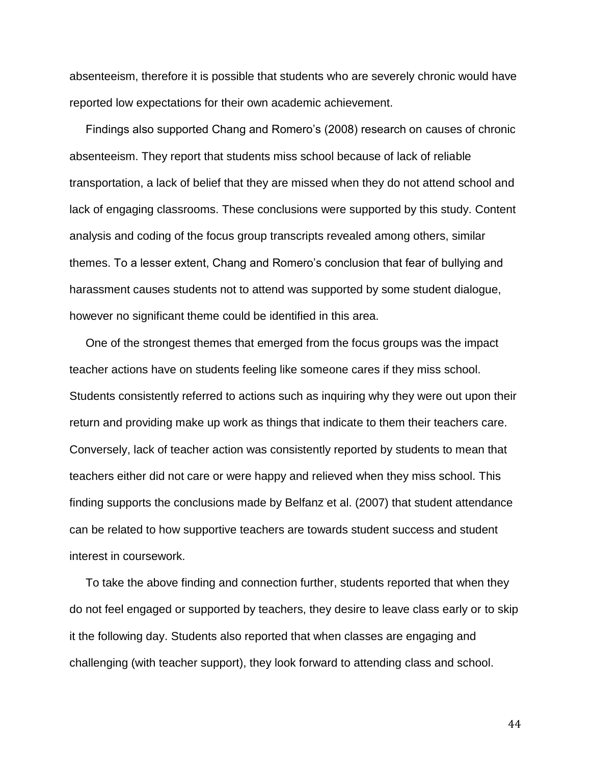absenteeism, therefore it is possible that students who are severely chronic would have reported low expectations for their own academic achievement.

 Findings also supported Chang and Romero's (2008) research on causes of chronic absenteeism. They report that students miss school because of lack of reliable transportation, a lack of belief that they are missed when they do not attend school and lack of engaging classrooms. These conclusions were supported by this study. Content analysis and coding of the focus group transcripts revealed among others, similar themes. To a lesser extent, Chang and Romero's conclusion that fear of bullying and harassment causes students not to attend was supported by some student dialogue, however no significant theme could be identified in this area.

 One of the strongest themes that emerged from the focus groups was the impact teacher actions have on students feeling like someone cares if they miss school. Students consistently referred to actions such as inquiring why they were out upon their return and providing make up work as things that indicate to them their teachers care. Conversely, lack of teacher action was consistently reported by students to mean that teachers either did not care or were happy and relieved when they miss school. This finding supports the conclusions made by Belfanz et al. (2007) that student attendance can be related to how supportive teachers are towards student success and student interest in coursework.

 To take the above finding and connection further, students reported that when they do not feel engaged or supported by teachers, they desire to leave class early or to skip it the following day. Students also reported that when classes are engaging and challenging (with teacher support), they look forward to attending class and school.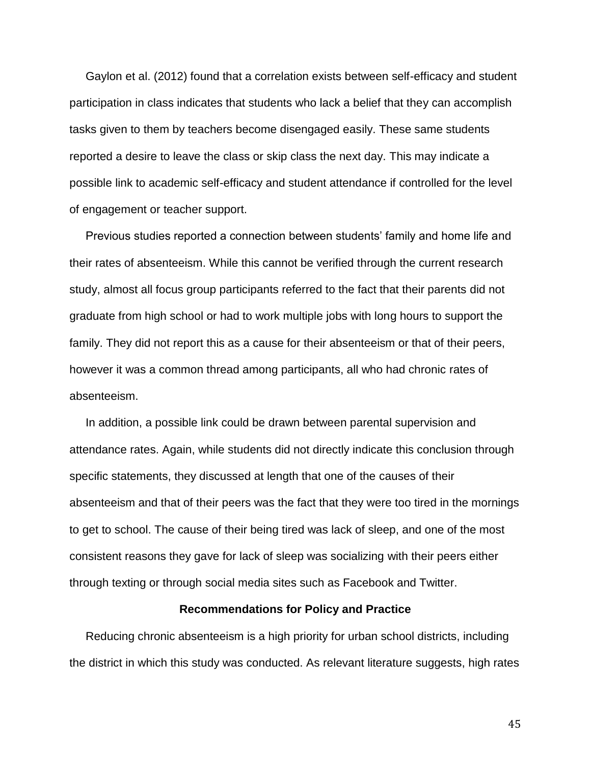Gaylon et al. (2012) found that a correlation exists between self-efficacy and student participation in class indicates that students who lack a belief that they can accomplish tasks given to them by teachers become disengaged easily. These same students reported a desire to leave the class or skip class the next day. This may indicate a possible link to academic self-efficacy and student attendance if controlled for the level of engagement or teacher support.

 Previous studies reported a connection between students' family and home life and their rates of absenteeism. While this cannot be verified through the current research study, almost all focus group participants referred to the fact that their parents did not graduate from high school or had to work multiple jobs with long hours to support the family. They did not report this as a cause for their absenteeism or that of their peers, however it was a common thread among participants, all who had chronic rates of absenteeism.

 In addition, a possible link could be drawn between parental supervision and attendance rates. Again, while students did not directly indicate this conclusion through specific statements, they discussed at length that one of the causes of their absenteeism and that of their peers was the fact that they were too tired in the mornings to get to school. The cause of their being tired was lack of sleep, and one of the most consistent reasons they gave for lack of sleep was socializing with their peers either through texting or through social media sites such as Facebook and Twitter.

#### **Recommendations for Policy and Practice**

 Reducing chronic absenteeism is a high priority for urban school districts, including the district in which this study was conducted. As relevant literature suggests, high rates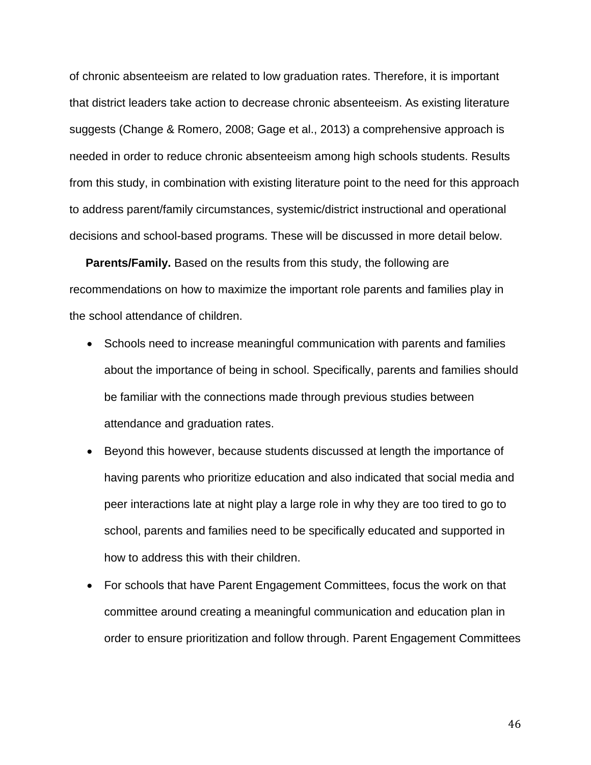of chronic absenteeism are related to low graduation rates. Therefore, it is important that district leaders take action to decrease chronic absenteeism. As existing literature suggests (Change & Romero, 2008; Gage et al., 2013) a comprehensive approach is needed in order to reduce chronic absenteeism among high schools students. Results from this study, in combination with existing literature point to the need for this approach to address parent/family circumstances, systemic/district instructional and operational decisions and school-based programs. These will be discussed in more detail below.

 **Parents/Family.** Based on the results from this study, the following are recommendations on how to maximize the important role parents and families play in the school attendance of children.

- Schools need to increase meaningful communication with parents and families about the importance of being in school. Specifically, parents and families should be familiar with the connections made through previous studies between attendance and graduation rates.
- Beyond this however, because students discussed at length the importance of having parents who prioritize education and also indicated that social media and peer interactions late at night play a large role in why they are too tired to go to school, parents and families need to be specifically educated and supported in how to address this with their children.
- For schools that have Parent Engagement Committees, focus the work on that committee around creating a meaningful communication and education plan in order to ensure prioritization and follow through. Parent Engagement Committees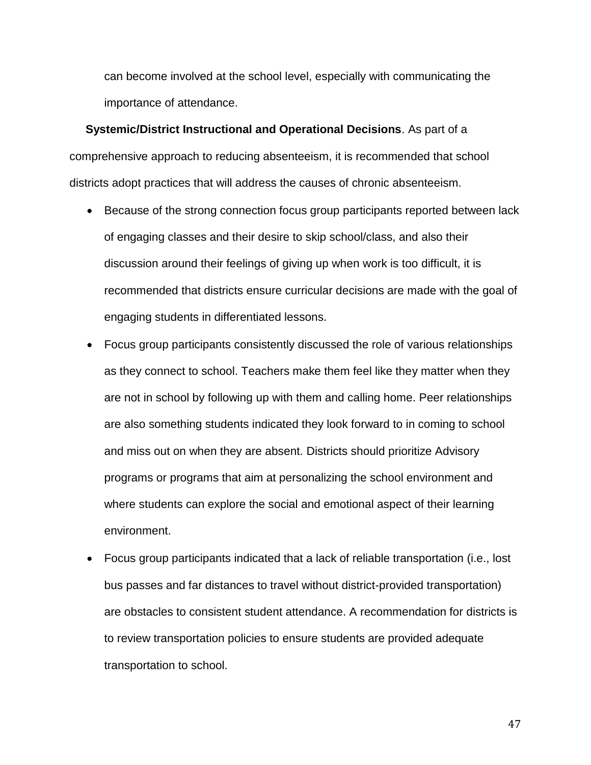can become involved at the school level, especially with communicating the importance of attendance.

 **Systemic/District Instructional and Operational Decisions**. As part of a comprehensive approach to reducing absenteeism, it is recommended that school districts adopt practices that will address the causes of chronic absenteeism.

- Because of the strong connection focus group participants reported between lack of engaging classes and their desire to skip school/class, and also their discussion around their feelings of giving up when work is too difficult, it is recommended that districts ensure curricular decisions are made with the goal of engaging students in differentiated lessons.
- Focus group participants consistently discussed the role of various relationships as they connect to school. Teachers make them feel like they matter when they are not in school by following up with them and calling home. Peer relationships are also something students indicated they look forward to in coming to school and miss out on when they are absent. Districts should prioritize Advisory programs or programs that aim at personalizing the school environment and where students can explore the social and emotional aspect of their learning environment.
- Focus group participants indicated that a lack of reliable transportation (i.e., lost bus passes and far distances to travel without district-provided transportation) are obstacles to consistent student attendance. A recommendation for districts is to review transportation policies to ensure students are provided adequate transportation to school.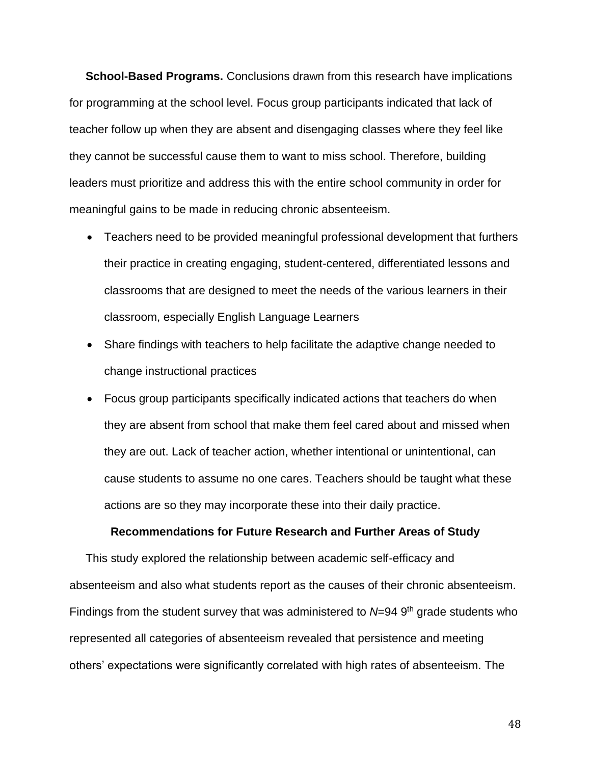**School-Based Programs.** Conclusions drawn from this research have implications for programming at the school level. Focus group participants indicated that lack of teacher follow up when they are absent and disengaging classes where they feel like they cannot be successful cause them to want to miss school. Therefore, building leaders must prioritize and address this with the entire school community in order for meaningful gains to be made in reducing chronic absenteeism.

- Teachers need to be provided meaningful professional development that furthers their practice in creating engaging, student-centered, differentiated lessons and classrooms that are designed to meet the needs of the various learners in their classroom, especially English Language Learners
- Share findings with teachers to help facilitate the adaptive change needed to change instructional practices
- Focus group participants specifically indicated actions that teachers do when they are absent from school that make them feel cared about and missed when they are out. Lack of teacher action, whether intentional or unintentional, can cause students to assume no one cares. Teachers should be taught what these actions are so they may incorporate these into their daily practice.

#### **Recommendations for Future Research and Further Areas of Study**

 This study explored the relationship between academic self-efficacy and absenteeism and also what students report as the causes of their chronic absenteeism. Findings from the student survey that was administered to N=94 9<sup>th</sup> grade students who represented all categories of absenteeism revealed that persistence and meeting others' expectations were significantly correlated with high rates of absenteeism. The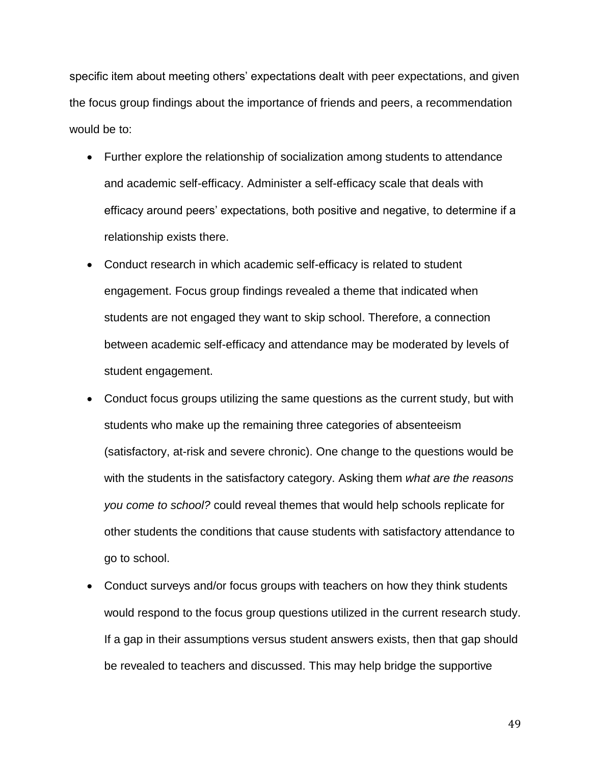specific item about meeting others' expectations dealt with peer expectations, and given the focus group findings about the importance of friends and peers, a recommendation would be to:

- Further explore the relationship of socialization among students to attendance and academic self-efficacy. Administer a self-efficacy scale that deals with efficacy around peers' expectations, both positive and negative, to determine if a relationship exists there.
- Conduct research in which academic self-efficacy is related to student engagement. Focus group findings revealed a theme that indicated when students are not engaged they want to skip school. Therefore, a connection between academic self-efficacy and attendance may be moderated by levels of student engagement.
- Conduct focus groups utilizing the same questions as the current study, but with students who make up the remaining three categories of absenteeism (satisfactory, at-risk and severe chronic). One change to the questions would be with the students in the satisfactory category. Asking them *what are the reasons you come to school?* could reveal themes that would help schools replicate for other students the conditions that cause students with satisfactory attendance to go to school.
- Conduct surveys and/or focus groups with teachers on how they think students would respond to the focus group questions utilized in the current research study. If a gap in their assumptions versus student answers exists, then that gap should be revealed to teachers and discussed. This may help bridge the supportive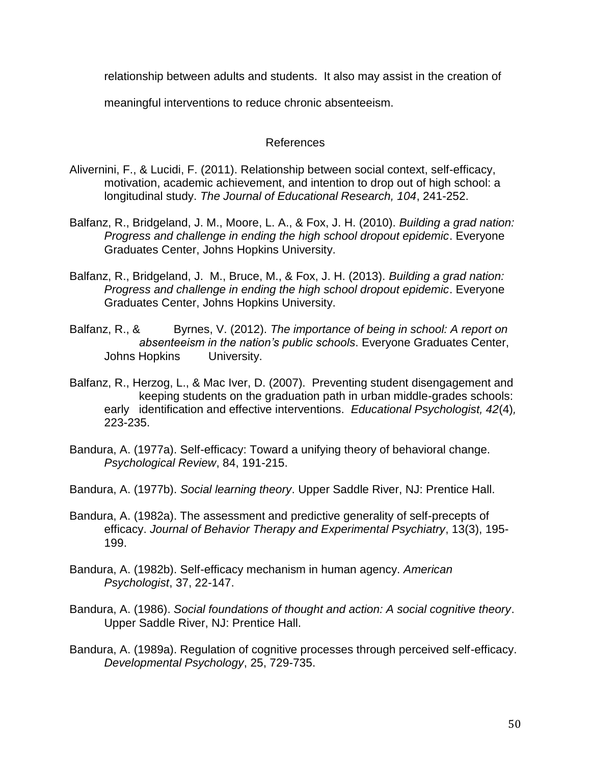relationship between adults and students. It also may assist in the creation of

meaningful interventions to reduce chronic absenteeism.

### References

- Alivernini, F., & Lucidi, F. (2011). Relationship between social context, self-efficacy, motivation, academic achievement, and intention to drop out of high school: a longitudinal study. *The Journal of Educational Research, 104*, 241-252.
- Balfanz, R., Bridgeland, J. M., Moore, L. A., & Fox, J. H. (2010). *Building a grad nation: Progress and challenge in ending the high school dropout epidemic*. Everyone Graduates Center, Johns Hopkins University.
- Balfanz, R., Bridgeland, J. M., Bruce, M., & Fox, J. H. (2013). *Building a grad nation: Progress and challenge in ending the high school dropout epidemic*. Everyone Graduates Center, Johns Hopkins University.
- Balfanz, R., & Byrnes, V. (2012). *The importance of being in school: A report on absenteeism in the nation's public schools*. Everyone Graduates Center, Johns Hopkins University.
- Balfanz, R., Herzog, L., & Mac Iver, D. (2007). Preventing student disengagement and keeping students on the graduation path in urban middle-grades schools: early identification and effective interventions. *Educational Psychologist, 42*(4)*,* 223-235.
- Bandura, A. (1977a). Self-efficacy: Toward a unifying theory of behavioral change. *Psychological Review*, 84, 191-215.
- Bandura, A. (1977b). *Social learning theory*. Upper Saddle River, NJ: Prentice Hall.
- Bandura, A. (1982a). The assessment and predictive generality of self-precepts of efficacy. *Journal of Behavior Therapy and Experimental Psychiatry*, 13(3), 195- 199.
- Bandura, A. (1982b). Self-efficacy mechanism in human agency. *American Psychologist*, 37, 22-147.
- Bandura, A. (1986). *Social foundations of thought and action: A social cognitive theory*. Upper Saddle River, NJ: Prentice Hall.
- Bandura, A. (1989a). Regulation of cognitive processes through perceived self-efficacy. *Developmental Psychology*, 25, 729-735.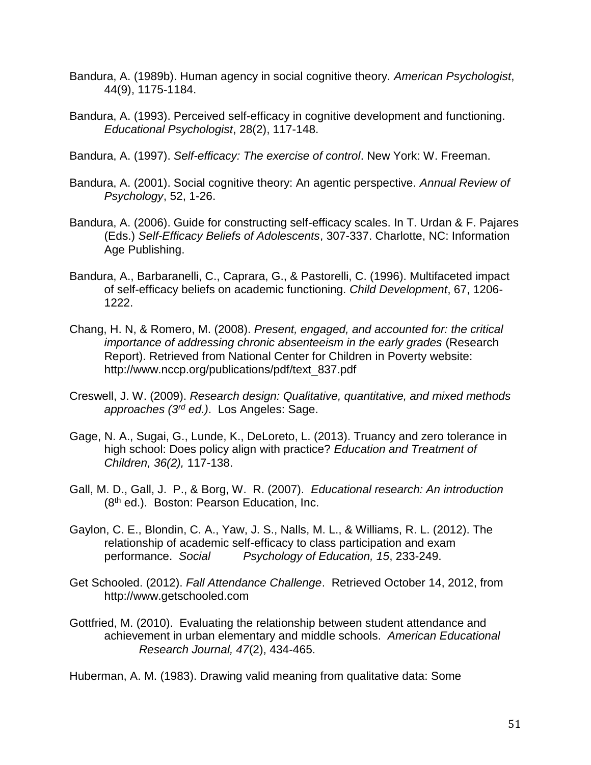- Bandura, A. (1989b). Human agency in social cognitive theory. *American Psychologist*, 44(9), 1175-1184.
- Bandura, A. (1993). Perceived self-efficacy in cognitive development and functioning. *Educational Psychologist*, 28(2), 117-148.
- Bandura, A. (1997). *Self-efficacy: The exercise of control*. New York: W. Freeman.
- Bandura, A. (2001). Social cognitive theory: An agentic perspective. *Annual Review of Psychology*, 52, 1-26.
- Bandura, A. (2006). Guide for constructing self-efficacy scales. In T. Urdan & F. Pajares (Eds.) *Self-Efficacy Beliefs of Adolescents*, 307-337. Charlotte, NC: Information Age Publishing.
- Bandura, A., Barbaranelli, C., Caprara, G., & Pastorelli, C. (1996). Multifaceted impact of self-efficacy beliefs on academic functioning. *Child Development*, 67, 1206- 1222.
- Chang, H. N, & Romero, M. (2008). *Present, engaged, and accounted for: the critical importance of addressing chronic absenteeism in the early grades* (Research Report). Retrieved from National Center for Children in Poverty website: http://www.nccp.org/publications/pdf/text\_837.pdf
- Creswell, J. W. (2009). *Research design: Qualitative, quantitative, and mixed methods approaches (3rd ed.)*. Los Angeles: Sage.
- Gage, N. A., Sugai, G., Lunde, K., DeLoreto, L. (2013). Truancy and zero tolerance in high school: Does policy align with practice? *Education and Treatment of Children, 36(2),* 117-138.
- Gall, M. D., Gall, J. P., & Borg, W. R. (2007). *Educational research: An introduction* (8th ed.). Boston: Pearson Education, Inc.
- Gaylon, C. E., Blondin, C. A., Yaw, J. S., Nalls, M. L., & Williams, R. L. (2012). The relationship of academic self-efficacy to class participation and exam performance. *Social Psychology of Education, 15*, 233-249.
- Get Schooled. (2012). *Fall Attendance Challenge*. Retrieved October 14, 2012, from http://www.getschooled.com
- Gottfried, M. (2010). Evaluating the relationship between student attendance and achievement in urban elementary and middle schools. *American Educational Research Journal, 47*(2), 434-465.

Huberman, A. M. (1983). Drawing valid meaning from qualitative data: Some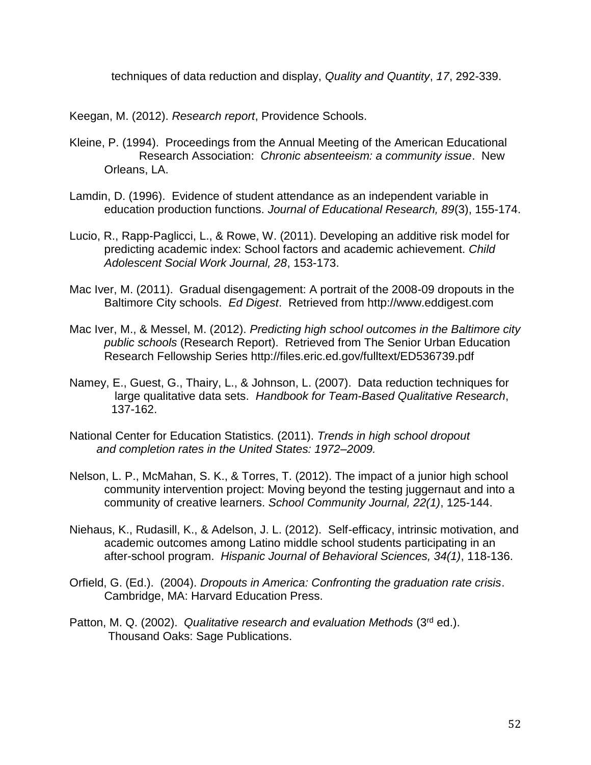techniques of data reduction and display, *Quality and Quantity*, *17*, 292-339.

Keegan, M. (2012). *Research report*, Providence Schools.

- Kleine, P. (1994). Proceedings from the Annual Meeting of the American Educational Research Association: *Chronic absenteeism: a community issue*. New Orleans, LA.
- Lamdin, D. (1996). Evidence of student attendance as an independent variable in education production functions. *Journal of Educational Research, 89*(3), 155-174.
- Lucio, R., Rapp-Paglicci, L., & Rowe, W. (2011). Developing an additive risk model for predicting academic index: School factors and academic achievement. *Child Adolescent Social Work Journal, 28*, 153-173.
- Mac Iver, M. (2011). Gradual disengagement: A portrait of the 2008-09 dropouts in the Baltimore City schools. *Ed Digest*. Retrieved from http://www.eddigest.com
- Mac Iver, M., & Messel, M. (2012). *Predicting high school outcomes in the Baltimore city public schools* (Research Report). Retrieved from The Senior Urban Education Research Fellowship Series http://files.eric.ed.gov/fulltext/ED536739.pdf
- Namey, E., Guest, G., Thairy, L., & Johnson, L. (2007). Data reduction techniques for large qualitative data sets. *Handbook for Team-Based Qualitative Research*, 137-162.
- National Center for Education Statistics. (2011). *Trends in high school dropout and completion rates in the United States: 1972–2009.*
- Nelson, L. P., McMahan, S. K., & Torres, T. (2012). The impact of a junior high school community intervention project: Moving beyond the testing juggernaut and into a community of creative learners. *School Community Journal, 22(1)*, 125-144.
- Niehaus, K., Rudasill, K., & Adelson, J. L. (2012). Self-efficacy, intrinsic motivation, and academic outcomes among Latino middle school students participating in an after-school program. *Hispanic Journal of Behavioral Sciences, 34(1)*, 118-136.
- Orfield, G. (Ed.). (2004). *Dropouts in America: Confronting the graduation rate crisis*. Cambridge, MA: Harvard Education Press.
- Patton, M. Q. (2002). *Qualitative research and evaluation Methods* (3rd ed.). Thousand Oaks: Sage Publications.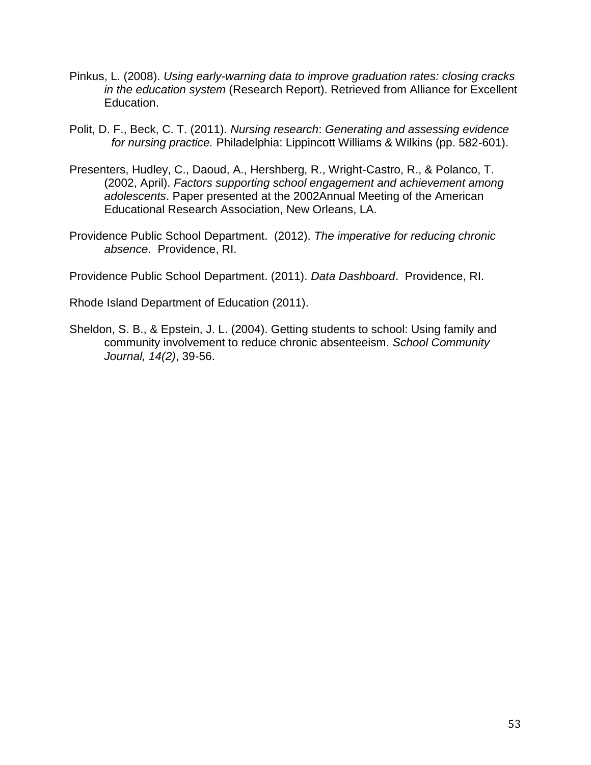- Pinkus, L. (2008). *Using early-warning data to improve graduation rates: closing cracks in the education system* (Research Report). Retrieved from Alliance for Excellent Education.
- Polit, D. F., Beck, C. T. (2011). *Nursing research*: *Generating and assessing evidence for nursing practice.* Philadelphia: Lippincott Williams & Wilkins (pp. 582-601).
- Presenters, Hudley, C., Daoud, A., Hershberg, R., Wright-Castro, R., & Polanco, T. (2002, April). *Factors supporting school engagement and achievement among adolescents*. Paper presented at the 2002Annual Meeting of the American Educational Research Association, New Orleans, LA.
- Providence Public School Department. (2012). *The imperative for reducing chronic absence*. Providence, RI.

Providence Public School Department. (2011). *Data Dashboard*. Providence, RI.

Rhode Island Department of Education (2011).

Sheldon, S. B., & Epstein, J. L. (2004). Getting students to school: Using family and community involvement to reduce chronic absenteeism. *School Community Journal, 14(2)*, 39-56.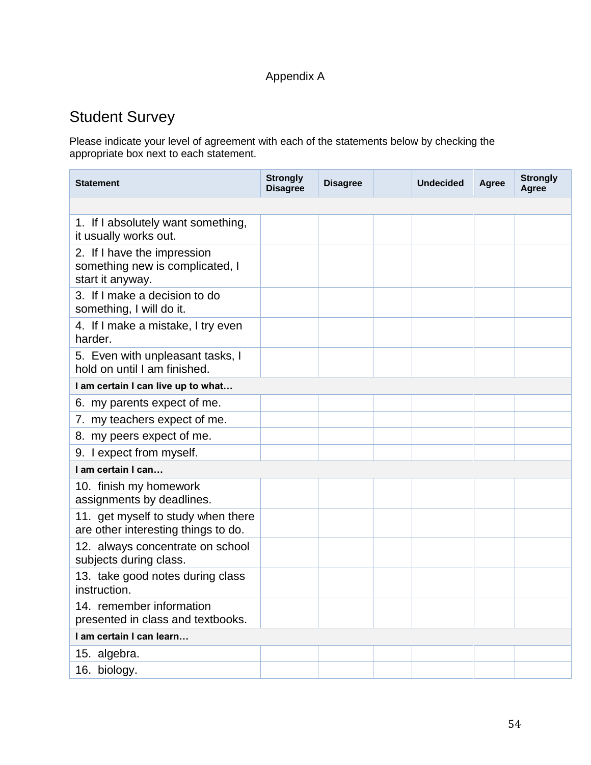# Appendix A

# Student Survey

Please indicate your level of agreement with each of the statements below by checking the appropriate box next to each statement.

| <b>Statement</b>                                                                   | <b>Strongly</b><br><b>Disagree</b> | <b>Disagree</b> |  | <b>Undecided</b> | Agree | <b>Strongly</b><br>Agree |
|------------------------------------------------------------------------------------|------------------------------------|-----------------|--|------------------|-------|--------------------------|
|                                                                                    |                                    |                 |  |                  |       |                          |
| 1. If I absolutely want something,<br>it usually works out.                        |                                    |                 |  |                  |       |                          |
| 2. If I have the impression<br>something new is complicated, I<br>start it anyway. |                                    |                 |  |                  |       |                          |
| 3. If I make a decision to do<br>something, I will do it.                          |                                    |                 |  |                  |       |                          |
| 4. If I make a mistake, I try even<br>harder.                                      |                                    |                 |  |                  |       |                          |
| 5. Even with unpleasant tasks, I<br>hold on until I am finished.                   |                                    |                 |  |                  |       |                          |
| I am certain I can live up to what                                                 |                                    |                 |  |                  |       |                          |
| 6. my parents expect of me.                                                        |                                    |                 |  |                  |       |                          |
| 7. my teachers expect of me.                                                       |                                    |                 |  |                  |       |                          |
| 8. my peers expect of me.                                                          |                                    |                 |  |                  |       |                          |
| 9. I expect from myself.                                                           |                                    |                 |  |                  |       |                          |
| I am certain I can                                                                 |                                    |                 |  |                  |       |                          |
| 10. finish my homework<br>assignments by deadlines.                                |                                    |                 |  |                  |       |                          |
| 11. get myself to study when there<br>are other interesting things to do.          |                                    |                 |  |                  |       |                          |
| 12. always concentrate on school<br>subjects during class.                         |                                    |                 |  |                  |       |                          |
| 13. take good notes during class<br>instruction.                                   |                                    |                 |  |                  |       |                          |
| 14. remember information<br>presented in class and textbooks.                      |                                    |                 |  |                  |       |                          |
| I am certain I can learn                                                           |                                    |                 |  |                  |       |                          |
| 15. algebra.                                                                       |                                    |                 |  |                  |       |                          |
| 16. biology.                                                                       |                                    |                 |  |                  |       |                          |